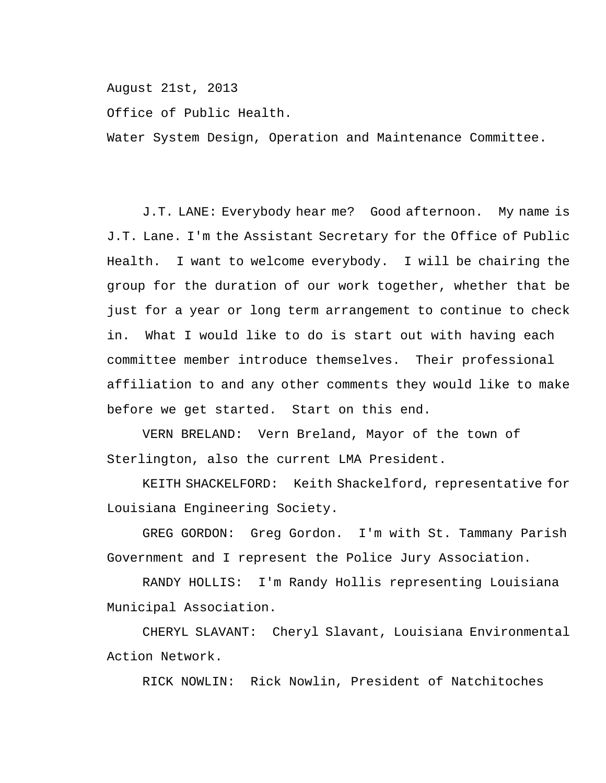August 21st, 2013

Office of Public Health.

Water System Design, Operation and Maintenance Committee.

J.T. LANE: Everybody hear me? Good afternoon. My name is J.T. Lane. I'm the Assistant Secretary for the Office of Public Health. I want to welcome everybody. I will be chairing the group for the duration of our work together, whether that be just for a year or long term arrangement to continue to check in. What I would like to do is start out with having each committee member introduce themselves. Their professional affiliation to and any other comments they would like to make before we get started. Start on this end.

VERN BRELAND: Vern Breland, Mayor of the town of Sterlington, also the current LMA President.

KEITH SHACKELFORD: Keith Shackelford, representative for Louisiana Engineering Society.

GREG GORDON: Greg Gordon. I'm with St. Tammany Parish Government and I represent the Police Jury Association.

RANDY HOLLIS: I'm Randy Hollis representing Louisiana Municipal Association.

CHERYL SLAVANT: Cheryl Slavant, Louisiana Environmental Action Network.

RICK NOWLIN: Rick Nowlin, President of Natchitoches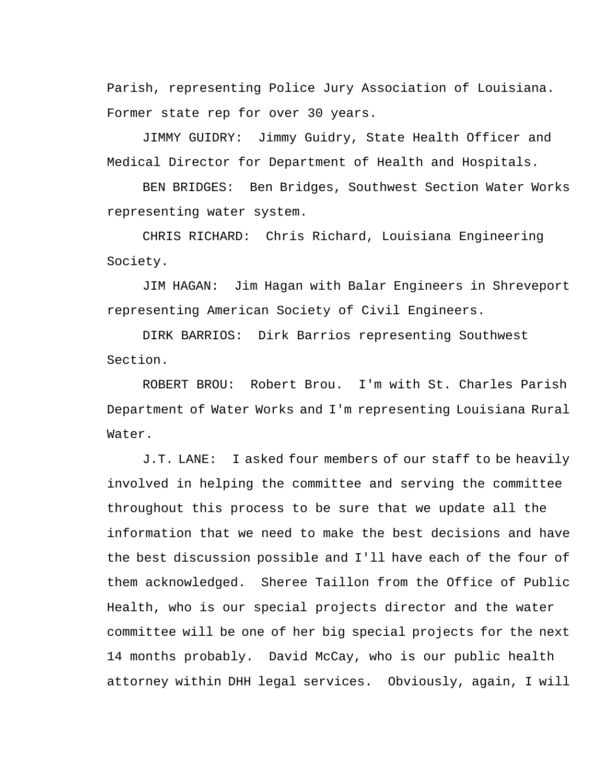Parish, representing Police Jury Association of Louisiana. Former state rep for over 30 years.

JIMMY GUIDRY: Jimmy Guidry, State Health Officer and Medical Director for Department of Health and Hospitals.

BEN BRIDGES: Ben Bridges, Southwest Section Water Works representing water system.

CHRIS RICHARD: Chris Richard, Louisiana Engineering Society.

JIM HAGAN: Jim Hagan with Balar Engineers in Shreveport representing American Society of Civil Engineers.

DIRK BARRIOS: Dirk Barrios representing Southwest Section.

ROBERT BROU: Robert Brou. I'm with St. Charles Parish Department of Water Works and I'm representing Louisiana Rural Water.

J.T. LANE: I asked four members of our staff to be heavily involved in helping the committee and serving the committee throughout this process to be sure that we update all the information that we need to make the best decisions and have the best discussion possible and I'll have each of the four of them acknowledged. Sheree Taillon from the Office of Public Health, who is our special projects director and the water committee will be one of her big special projects for the next 14 months probably. David McCay, who is our public health attorney within DHH legal services. Obviously, again, I will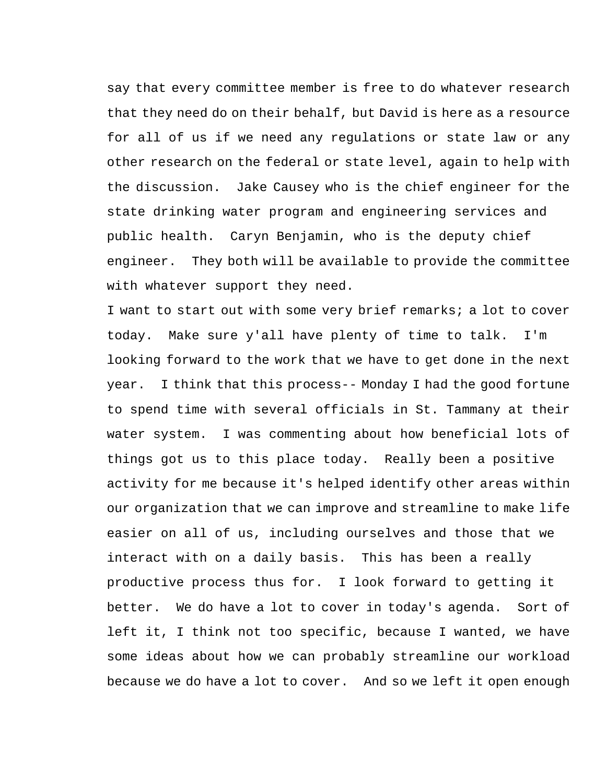say that every committee member is free to do whatever research that they need do on their behalf, but David is here as a resource for all of us if we need any regulations or state law or any other research on the federal or state level, again to help with the discussion. Jake Causey who is the chief engineer for the state drinking water program and engineering services and public health. Caryn Benjamin, who is the deputy chief engineer. They both will be available to provide the committee with whatever support they need.

I want to start out with some very brief remarks; a lot to cover today. Make sure y'all have plenty of time to talk. I'm looking forward to the work that we have to get done in the next year. I think that this process-- Monday I had the good fortune to spend time with several officials in St. Tammany at their water system. I was commenting about how beneficial lots of things got us to this place today. Really been a positive activity for me because it's helped identify other areas within our organization that we can improve and streamline to make life easier on all of us, including ourselves and those that we interact with on a daily basis. This has been a really productive process thus for. I look forward to getting it better. We do have a lot to cover in today's agenda. Sort of left it, I think not too specific, because I wanted, we have some ideas about how we can probably streamline our workload because we do have a lot to cover. And so we left it open enough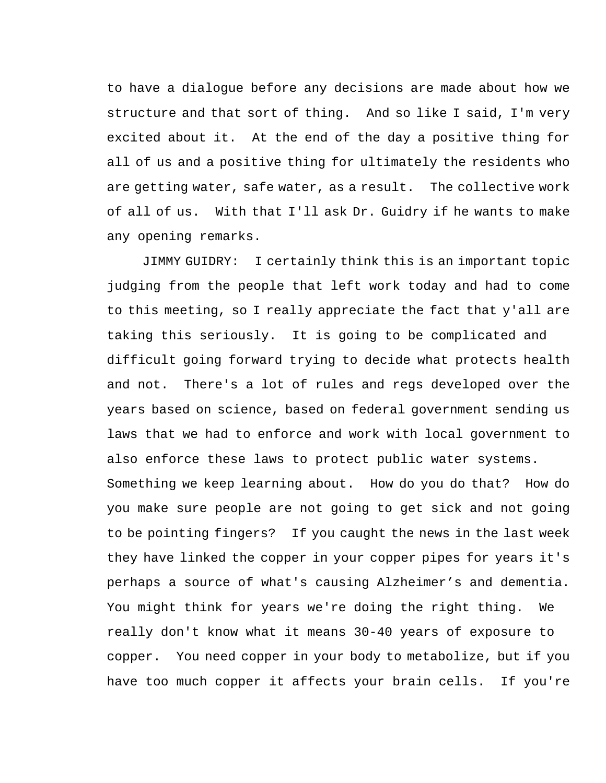to have a dialogue before any decisions are made about how we structure and that sort of thing. And so like I said, I'm very excited about it. At the end of the day a positive thing for all of us and a positive thing for ultimately the residents who are getting water, safe water, as a result. The collective work of all of us. With that I'll ask Dr. Guidry if he wants to make any opening remarks.

JIMMY GUIDRY: I certainly think this is an important topic judging from the people that left work today and had to come to this meeting, so I really appreciate the fact that y'all are taking this seriously. It is going to be complicated and difficult going forward trying to decide what protects health and not. There's a lot of rules and regs developed over the years based on science, based on federal government sending us laws that we had to enforce and work with local government to also enforce these laws to protect public water systems. Something we keep learning about. How do you do that? How do you make sure people are not going to get sick and not going to be pointing fingers? If you caught the news in the last week they have linked the copper in your copper pipes for years it's perhaps a source of what's causing Alzheimer's and dementia. You might think for years we're doing the right thing. We really don't know what it means 30-40 years of exposure to copper. You need copper in your body to metabolize, but if you have too much copper it affects your brain cells. If you're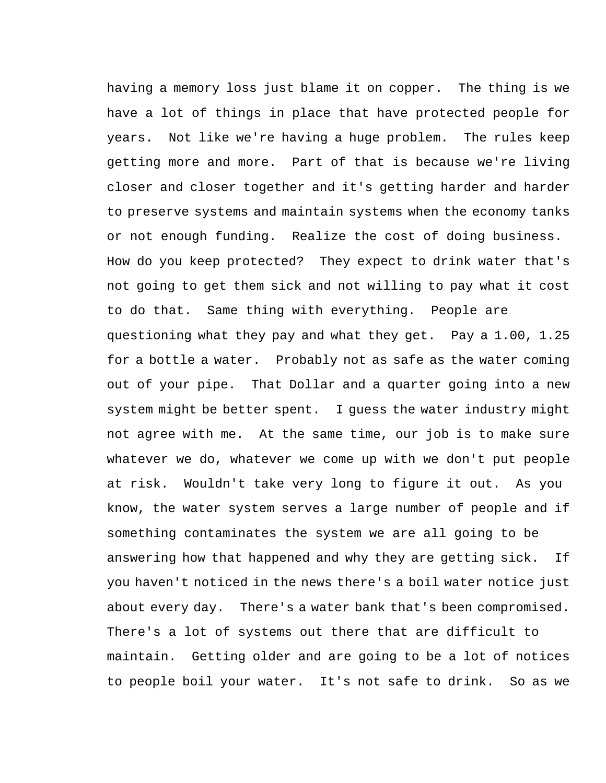having a memory loss just blame it on copper. The thing is we have a lot of things in place that have protected people for years. Not like we're having a huge problem. The rules keep getting more and more. Part of that is because we're living closer and closer together and it's getting harder and harder to preserve systems and maintain systems when the economy tanks or not enough funding. Realize the cost of doing business. How do you keep protected? They expect to drink water that's not going to get them sick and not willing to pay what it cost to do that. Same thing with everything. People are questioning what they pay and what they get. Pay a 1.00, 1.25 for a bottle a water. Probably not as safe as the water coming out of your pipe. That Dollar and a quarter going into a new system might be better spent. I guess the water industry might not agree with me. At the same time, our job is to make sure whatever we do, whatever we come up with we don't put people at risk. Wouldn't take very long to figure it out. As you know, the water system serves a large number of people and if something contaminates the system we are all going to be answering how that happened and why they are getting sick. If you haven't noticed in the news there's a boil water notice just about every day. There's a water bank that's been compromised. There's a lot of systems out there that are difficult to maintain. Getting older and are going to be a lot of notices to people boil your water. It's not safe to drink. So as we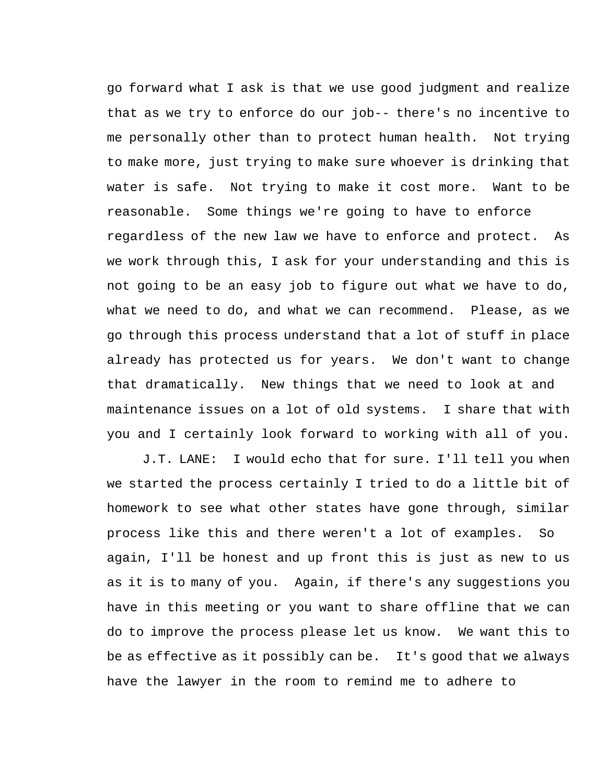go forward what I ask is that we use good judgment and realize that as we try to enforce do our job-- there's no incentive to me personally other than to protect human health. Not trying to make more, just trying to make sure whoever is drinking that water is safe. Not trying to make it cost more. Want to be reasonable. Some things we're going to have to enforce regardless of the new law we have to enforce and protect. As we work through this, I ask for your understanding and this is not going to be an easy job to figure out what we have to do, what we need to do, and what we can recommend. Please, as we go through this process understand that a lot of stuff in place already has protected us for years. We don't want to change that dramatically. New things that we need to look at and maintenance issues on a lot of old systems. I share that with you and I certainly look forward to working with all of you.

J.T. LANE: I would echo that for sure. I'll tell you when we started the process certainly I tried to do a little bit of homework to see what other states have gone through, similar process like this and there weren't a lot of examples. So again, I'll be honest and up front this is just as new to us as it is to many of you. Again, if there's any suggestions you have in this meeting or you want to share offline that we can do to improve the process please let us know. We want this to be as effective as it possibly can be. It's good that we always have the lawyer in the room to remind me to adhere to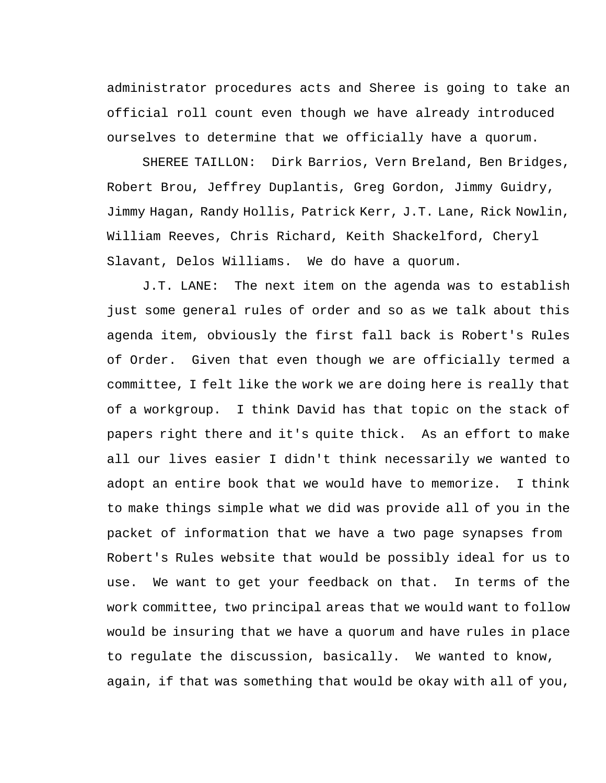administrator procedures acts and Sheree is going to take an official roll count even though we have already introduced ourselves to determine that we officially have a quorum.

SHEREE TAILLON: Dirk Barrios, Vern Breland, Ben Bridges, Robert Brou, Jeffrey Duplantis, Greg Gordon, Jimmy Guidry, Jimmy Hagan, Randy Hollis, Patrick Kerr, J.T. Lane, Rick Nowlin, William Reeves, Chris Richard, Keith Shackelford, Cheryl Slavant, Delos Williams. We do have a quorum.

J.T. LANE: The next item on the agenda was to establish just some general rules of order and so as we talk about this agenda item, obviously the first fall back is Robert's Rules of Order. Given that even though we are officially termed a committee, I felt like the work we are doing here is really that of a workgroup. I think David has that topic on the stack of papers right there and it's quite thick. As an effort to make all our lives easier I didn't think necessarily we wanted to adopt an entire book that we would have to memorize. I think to make things simple what we did was provide all of you in the packet of information that we have a two page synapses from Robert's Rules website that would be possibly ideal for us to use. We want to get your feedback on that. In terms of the work committee, two principal areas that we would want to follow would be insuring that we have a quorum and have rules in place to regulate the discussion, basically. We wanted to know, again, if that was something that would be okay with all of you,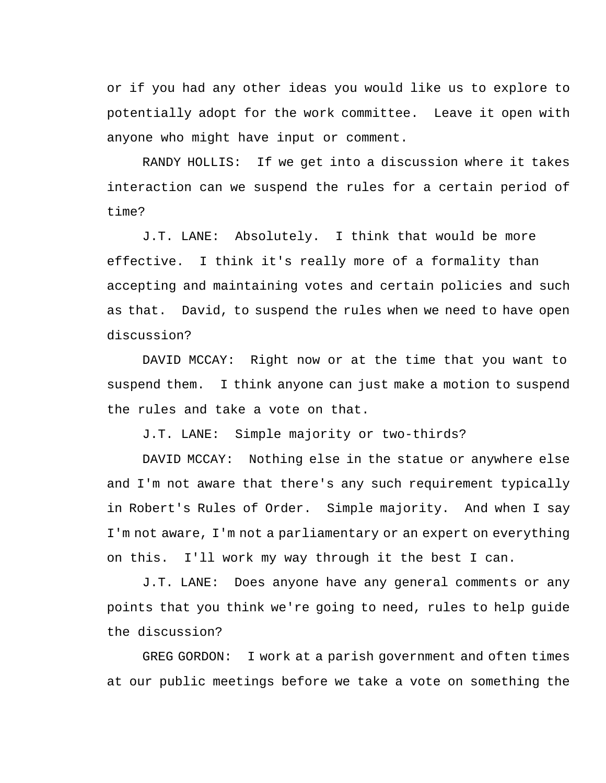or if you had any other ideas you would like us to explore to potentially adopt for the work committee. Leave it open with anyone who might have input or comment.

RANDY HOLLIS: If we get into a discussion where it takes interaction can we suspend the rules for a certain period of time?

J.T. LANE: Absolutely. I think that would be more effective. I think it's really more of a formality than accepting and maintaining votes and certain policies and such as that. David, to suspend the rules when we need to have open discussion?

DAVID MCCAY: Right now or at the time that you want to suspend them. I think anyone can just make a motion to suspend the rules and take a vote on that.

J.T. LANE: Simple majority or two-thirds?

DAVID MCCAY: Nothing else in the statue or anywhere else and I'm not aware that there's any such requirement typically in Robert's Rules of Order. Simple majority. And when I say I'm not aware, I'm not a parliamentary or an expert on everything on this. I'll work my way through it the best I can.

J.T. LANE: Does anyone have any general comments or any points that you think we're going to need, rules to help guide the discussion?

GREG GORDON: I work at a parish government and often times at our public meetings before we take a vote on something the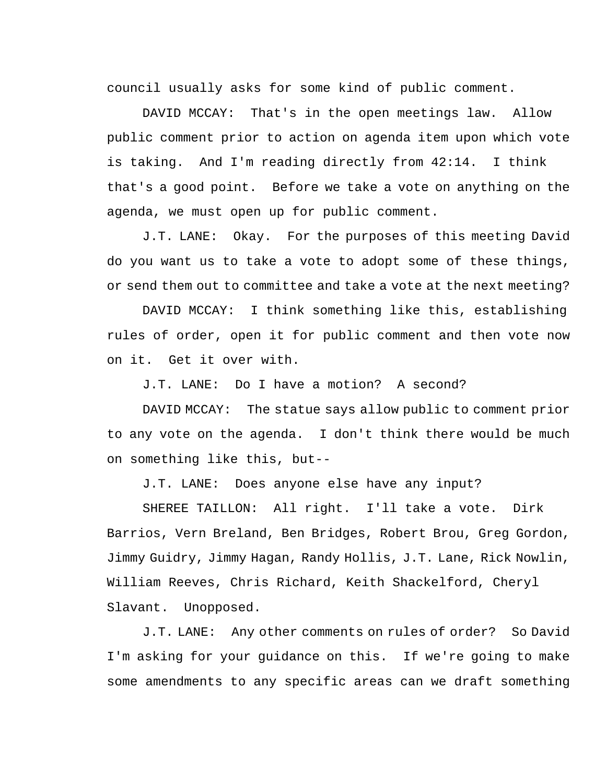council usually asks for some kind of public comment.

DAVID MCCAY: That's in the open meetings law. Allow public comment prior to action on agenda item upon which vote is taking. And I'm reading directly from 42:14. I think that's a good point. Before we take a vote on anything on the agenda, we must open up for public comment.

J.T. LANE: Okay. For the purposes of this meeting David do you want us to take a vote to adopt some of these things, or send them out to committee and take a vote at the next meeting?

DAVID MCCAY: I think something like this, establishing rules of order, open it for public comment and then vote now on it. Get it over with.

J.T. LANE: Do I have a motion? A second?

DAVID MCCAY: The statue says allow public to comment prior to any vote on the agenda. I don't think there would be much on something like this, but--

J.T. LANE: Does anyone else have any input?

SHEREE TAILLON: All right. I'll take a vote. Dirk Barrios, Vern Breland, Ben Bridges, Robert Brou, Greg Gordon, Jimmy Guidry, Jimmy Hagan, Randy Hollis, J.T. Lane, Rick Nowlin, William Reeves, Chris Richard, Keith Shackelford, Cheryl Slavant. Unopposed.

J.T. LANE: Any other comments on rules of order? So David I'm asking for your guidance on this. If we're going to make some amendments to any specific areas can we draft something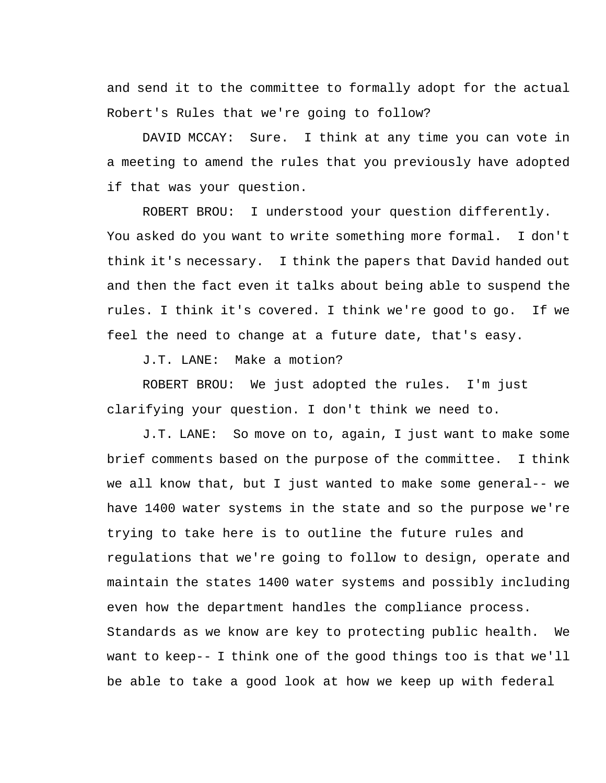and send it to the committee to formally adopt for the actual Robert's Rules that we're going to follow?

DAVID MCCAY: Sure. I think at any time you can vote in a meeting to amend the rules that you previously have adopted if that was your question.

ROBERT BROU: I understood your question differently. You asked do you want to write something more formal. I don't think it's necessary. I think the papers that David handed out and then the fact even it talks about being able to suspend the rules. I think it's covered. I think we're good to go. If we feel the need to change at a future date, that's easy.

J.T. LANE: Make a motion?

ROBERT BROU: We just adopted the rules. I'm just clarifying your question. I don't think we need to.

J.T. LANE: So move on to, again, I just want to make some brief comments based on the purpose of the committee. I think we all know that, but I just wanted to make some general-- we have 1400 water systems in the state and so the purpose we're trying to take here is to outline the future rules and regulations that we're going to follow to design, operate and maintain the states 1400 water systems and possibly including even how the department handles the compliance process. Standards as we know are key to protecting public health. We want to keep-- I think one of the good things too is that we'll be able to take a good look at how we keep up with federal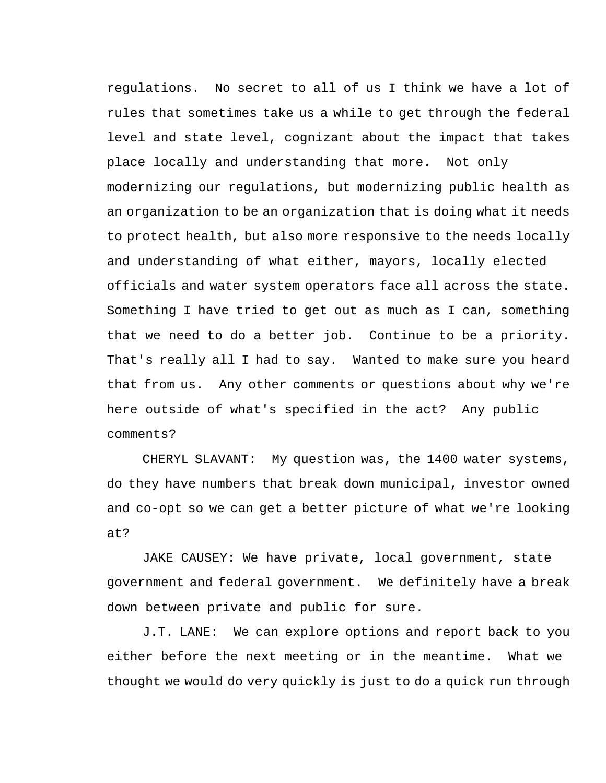regulations. No secret to all of us I think we have a lot of rules that sometimes take us a while to get through the federal level and state level, cognizant about the impact that takes place locally and understanding that more. Not only modernizing our regulations, but modernizing public health as an organization to be an organization that is doing what it needs to protect health, but also more responsive to the needs locally and understanding of what either, mayors, locally elected officials and water system operators face all across the state. Something I have tried to get out as much as I can, something that we need to do a better job. Continue to be a priority. That's really all I had to say. Wanted to make sure you heard that from us. Any other comments or questions about why we're here outside of what's specified in the act? Any public comments?

CHERYL SLAVANT: My question was, the 1400 water systems, do they have numbers that break down municipal, investor owned and co-opt so we can get a better picture of what we're looking at?

JAKE CAUSEY: We have private, local government, state government and federal government. We definitely have a break down between private and public for sure.

J.T. LANE: We can explore options and report back to you either before the next meeting or in the meantime. What we thought we would do very quickly is just to do a quick run through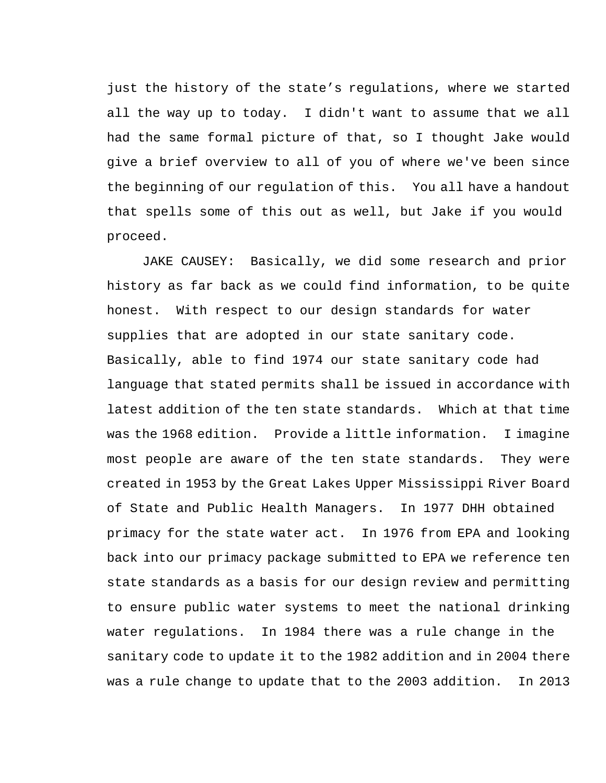just the history of the state's regulations, where we started all the way up to today. I didn't want to assume that we all had the same formal picture of that, so I thought Jake would give a brief overview to all of you of where we've been since the beginning of our regulation of this. You all have a handout that spells some of this out as well, but Jake if you would proceed.

JAKE CAUSEY: Basically, we did some research and prior history as far back as we could find information, to be quite honest. With respect to our design standards for water supplies that are adopted in our state sanitary code. Basically, able to find 1974 our state sanitary code had language that stated permits shall be issued in accordance with latest addition of the ten state standards. Which at that time was the 1968 edition. Provide a little information. I imagine most people are aware of the ten state standards. They were created in 1953 by the Great Lakes Upper Mississippi River Board of State and Public Health Managers. In 1977 DHH obtained primacy for the state water act. In 1976 from EPA and looking back into our primacy package submitted to EPA we reference ten state standards as a basis for our design review and permitting to ensure public water systems to meet the national drinking water regulations. In 1984 there was a rule change in the sanitary code to update it to the 1982 addition and in 2004 there was a rule change to update that to the 2003 addition. In 2013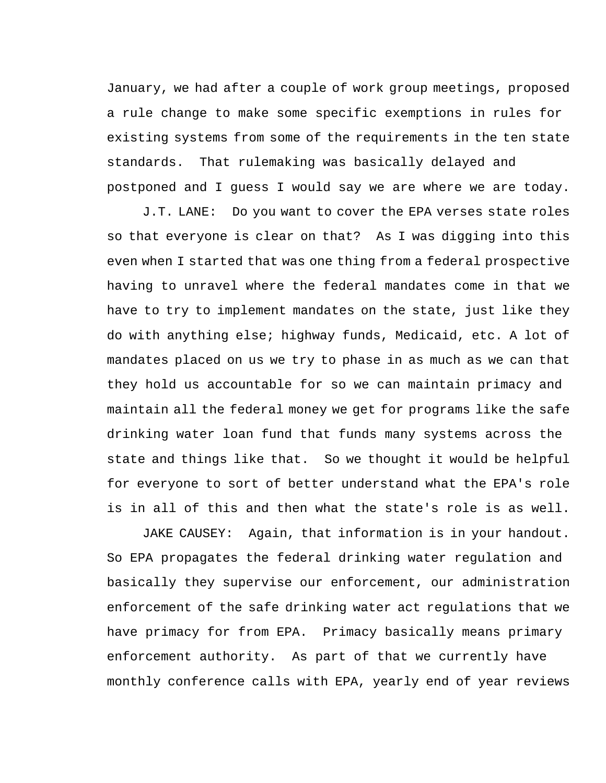January, we had after a couple of work group meetings, proposed a rule change to make some specific exemptions in rules for existing systems from some of the requirements in the ten state standards. That rulemaking was basically delayed and postponed and I guess I would say we are where we are today.

J.T. LANE: Do you want to cover the EPA verses state roles so that everyone is clear on that? As I was digging into this even when I started that was one thing from a federal prospective having to unravel where the federal mandates come in that we have to try to implement mandates on the state, just like they do with anything else; highway funds, Medicaid, etc. A lot of mandates placed on us we try to phase in as much as we can that they hold us accountable for so we can maintain primacy and maintain all the federal money we get for programs like the safe drinking water loan fund that funds many systems across the state and things like that. So we thought it would be helpful for everyone to sort of better understand what the EPA's role is in all of this and then what the state's role is as well.

JAKE CAUSEY: Again, that information is in your handout. So EPA propagates the federal drinking water regulation and basically they supervise our enforcement, our administration enforcement of the safe drinking water act regulations that we have primacy for from EPA. Primacy basically means primary enforcement authority. As part of that we currently have monthly conference calls with EPA, yearly end of year reviews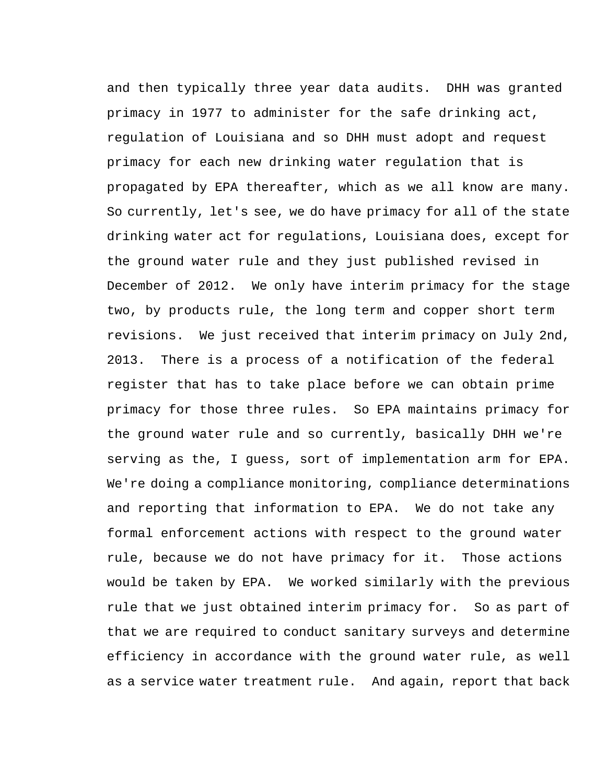and then typically three year data audits. DHH was granted primacy in 1977 to administer for the safe drinking act, regulation of Louisiana and so DHH must adopt and request primacy for each new drinking water regulation that is propagated by EPA thereafter, which as we all know are many. So currently, let's see, we do have primacy for all of the state drinking water act for regulations, Louisiana does, except for the ground water rule and they just published revised in December of 2012. We only have interim primacy for the stage two, by products rule, the long term and copper short term revisions. We just received that interim primacy on July 2nd, 2013. There is a process of a notification of the federal register that has to take place before we can obtain prime primacy for those three rules. So EPA maintains primacy for the ground water rule and so currently, basically DHH we're serving as the, I guess, sort of implementation arm for EPA. We're doing a compliance monitoring, compliance determinations and reporting that information to EPA. We do not take any formal enforcement actions with respect to the ground water rule, because we do not have primacy for it. Those actions would be taken by EPA. We worked similarly with the previous rule that we just obtained interim primacy for. So as part of that we are required to conduct sanitary surveys and determine efficiency in accordance with the ground water rule, as well as a service water treatment rule. And again, report that back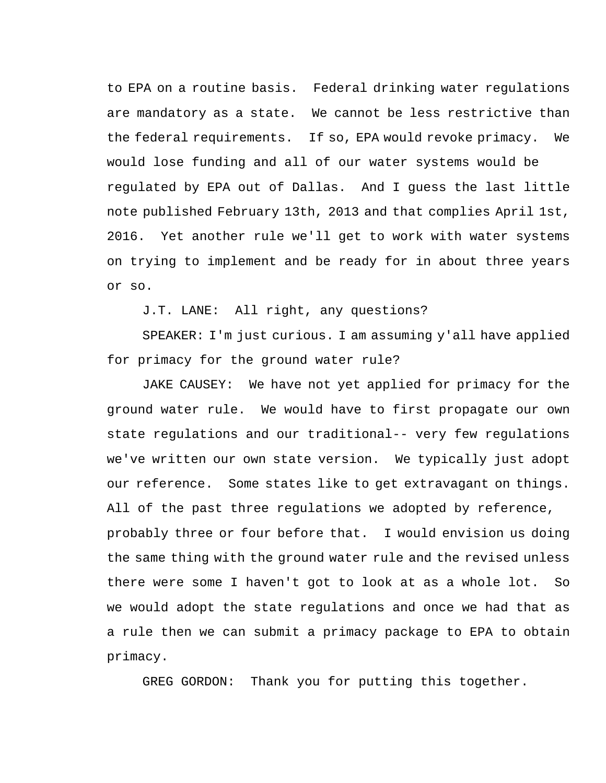to EPA on a routine basis. Federal drinking water regulations are mandatory as a state. We cannot be less restrictive than the federal requirements. If so, EPA would revoke primacy. We would lose funding and all of our water systems would be regulated by EPA out of Dallas. And I guess the last little note published February 13th, 2013 and that complies April 1st, 2016. Yet another rule we'll get to work with water systems on trying to implement and be ready for in about three years or so.

J.T. LANE: All right, any questions?

SPEAKER: I'm just curious. I am assuming y'all have applied for primacy for the ground water rule?

JAKE CAUSEY: We have not yet applied for primacy for the ground water rule. We would have to first propagate our own state regulations and our traditional-- very few regulations we've written our own state version. We typically just adopt our reference. Some states like to get extravagant on things. All of the past three regulations we adopted by reference, probably three or four before that. I would envision us doing the same thing with the ground water rule and the revised unless there were some I haven't got to look at as a whole lot. So we would adopt the state regulations and once we had that as a rule then we can submit a primacy package to EPA to obtain primacy.

GREG GORDON: Thank you for putting this together.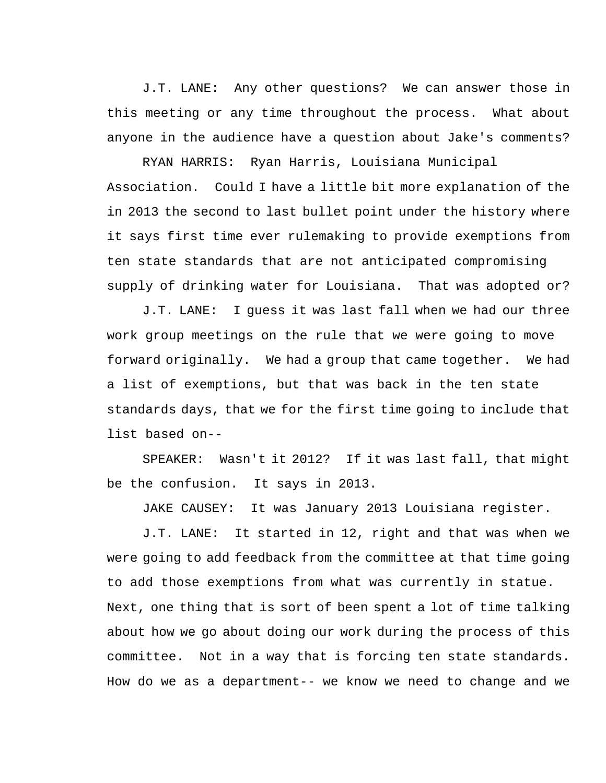J.T. LANE: Any other questions? We can answer those in this meeting or any time throughout the process. What about anyone in the audience have a question about Jake's comments?

RYAN HARRIS: Ryan Harris, Louisiana Municipal Association. Could I have a little bit more explanation of the in 2013 the second to last bullet point under the history where it says first time ever rulemaking to provide exemptions from ten state standards that are not anticipated compromising supply of drinking water for Louisiana. That was adopted or?

J.T. LANE: I guess it was last fall when we had our three work group meetings on the rule that we were going to move forward originally. We had a group that came together. We had a list of exemptions, but that was back in the ten state standards days, that we for the first time going to include that list based on--

SPEAKER: Wasn't it 2012? If it was last fall, that might be the confusion. It says in 2013.

JAKE CAUSEY: It was January 2013 Louisiana register.

J.T. LANE: It started in 12, right and that was when we were going to add feedback from the committee at that time going to add those exemptions from what was currently in statue. Next, one thing that is sort of been spent a lot of time talking about how we go about doing our work during the process of this committee. Not in a way that is forcing ten state standards. How do we as a department-- we know we need to change and we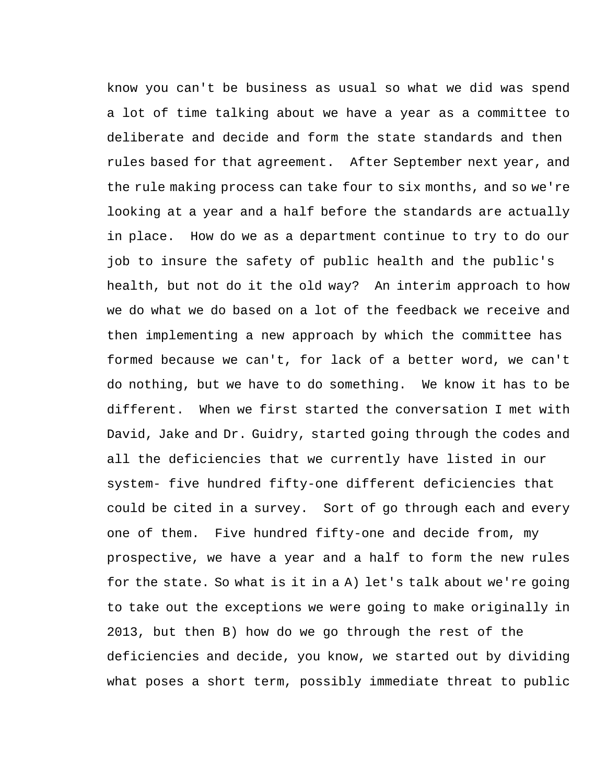know you can't be business as usual so what we did was spend a lot of time talking about we have a year as a committee to deliberate and decide and form the state standards and then rules based for that agreement. After September next year, and the rule making process can take four to six months, and so we're looking at a year and a half before the standards are actually in place. How do we as a department continue to try to do our job to insure the safety of public health and the public's health, but not do it the old way? An interim approach to how we do what we do based on a lot of the feedback we receive and then implementing a new approach by which the committee has formed because we can't, for lack of a better word, we can't do nothing, but we have to do something. We know it has to be different. When we first started the conversation I met with David, Jake and Dr. Guidry, started going through the codes and all the deficiencies that we currently have listed in our system- five hundred fifty-one different deficiencies that could be cited in a survey. Sort of go through each and every one of them. Five hundred fifty-one and decide from, my prospective, we have a year and a half to form the new rules for the state. So what is it in a A) let's talk about we're going to take out the exceptions we were going to make originally in 2013, but then B) how do we go through the rest of the deficiencies and decide, you know, we started out by dividing what poses a short term, possibly immediate threat to public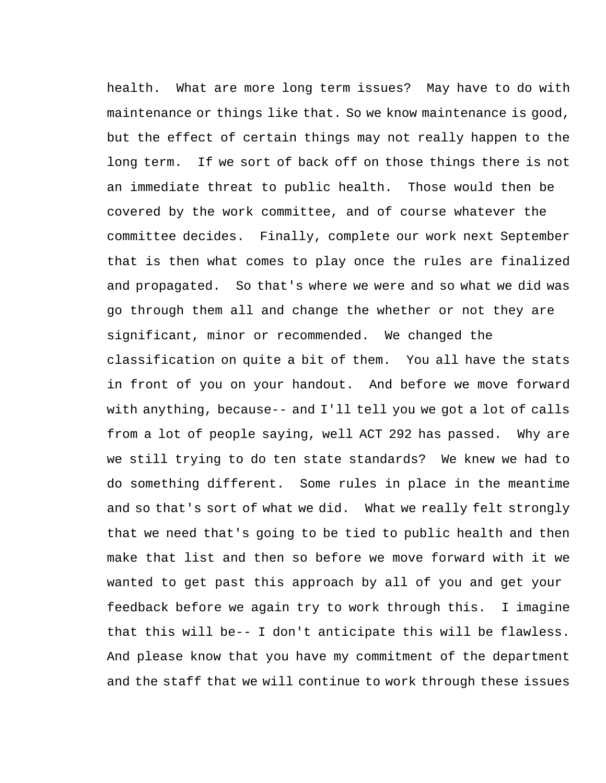health. What are more long term issues? May have to do with maintenance or things like that. So we know maintenance is good, but the effect of certain things may not really happen to the long term. If we sort of back off on those things there is not an immediate threat to public health. Those would then be covered by the work committee, and of course whatever the committee decides. Finally, complete our work next September that is then what comes to play once the rules are finalized and propagated. So that's where we were and so what we did was go through them all and change the whether or not they are significant, minor or recommended. We changed the classification on quite a bit of them. You all have the stats in front of you on your handout. And before we move forward with anything, because-- and I'll tell you we got a lot of calls from a lot of people saying, well ACT 292 has passed. Why are we still trying to do ten state standards? We knew we had to do something different. Some rules in place in the meantime and so that's sort of what we did. What we really felt strongly that we need that's going to be tied to public health and then make that list and then so before we move forward with it we wanted to get past this approach by all of you and get your feedback before we again try to work through this. I imagine that this will be-- I don't anticipate this will be flawless. And please know that you have my commitment of the department and the staff that we will continue to work through these issues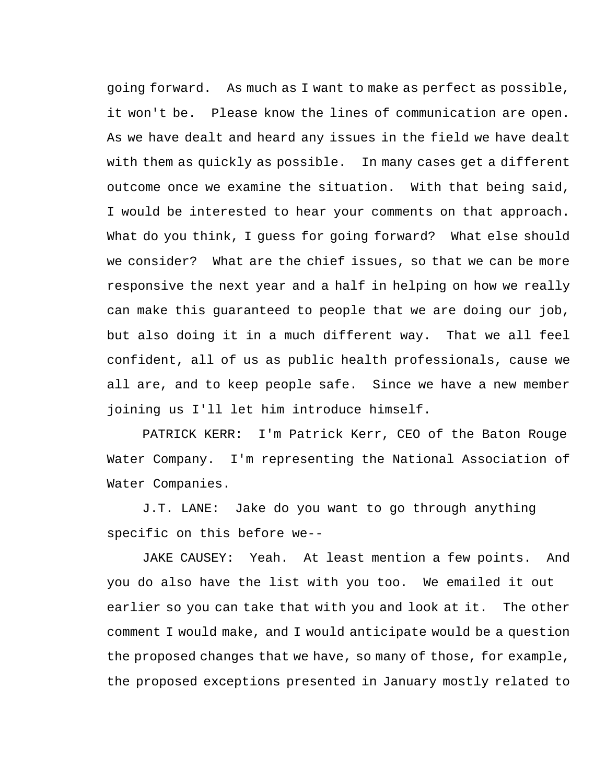going forward. As much as I want to make as perfect as possible, it won't be. Please know the lines of communication are open. As we have dealt and heard any issues in the field we have dealt with them as quickly as possible. In many cases get a different outcome once we examine the situation. With that being said, I would be interested to hear your comments on that approach. What do you think, I guess for going forward? What else should we consider? What are the chief issues, so that we can be more responsive the next year and a half in helping on how we really can make this guaranteed to people that we are doing our job, but also doing it in a much different way. That we all feel confident, all of us as public health professionals, cause we all are, and to keep people safe. Since we have a new member joining us I'll let him introduce himself.

PATRICK KERR: I'm Patrick Kerr, CEO of the Baton Rouge Water Company. I'm representing the National Association of Water Companies.

J.T. LANE: Jake do you want to go through anything specific on this before we--

JAKE CAUSEY: Yeah. At least mention a few points. And you do also have the list with you too. We emailed it out earlier so you can take that with you and look at it. The other comment I would make, and I would anticipate would be a question the proposed changes that we have, so many of those, for example, the proposed exceptions presented in January mostly related to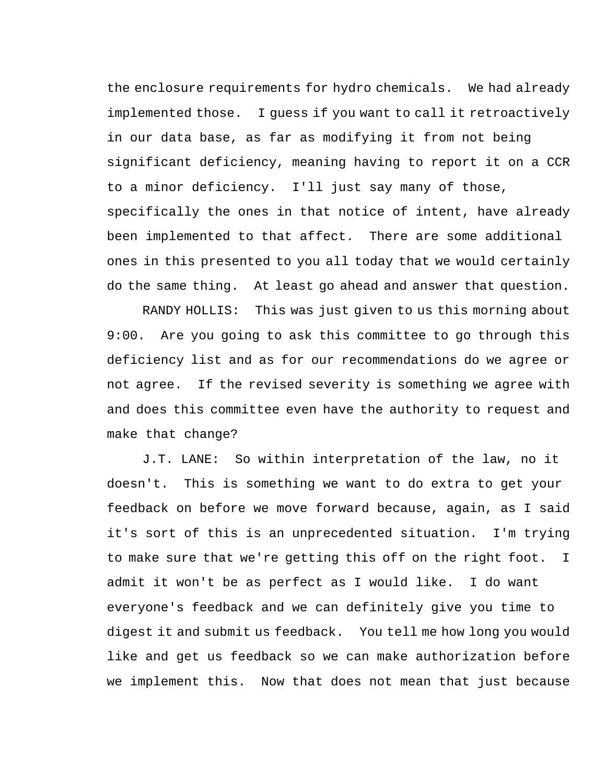the enclosure requirements for hydro chemicals. We had already implemented those. I guess if you want to call it retroactively in our data base, as far as modifying it from not being significant deficiency, meaning having to report it on a CCR to a minor deficiency. I'll just say many of those, specifically the ones in that notice of intent, have already been implemented to that affect. There are some additional ones in this presented to you all today that we would certainly do the same thing. At least go ahead and answer that question.

RANDY HOLLIS: This was just given to us this morning about 9:00. Are you going to ask this committee to go through this deficiency list and as for our recommendations do we agree or not agree. If the revised severity is something we agree with and does this committee even have the authority to request and make that change?

J.T. LANE: So within interpretation of the law, no it doesn't. This is something we want to do extra to get your feedback on before we move forward because, again, as I said it's sort of this is an unprecedented situation. I'm trying to make sure that we're getting this off on the right foot. I admit it won't be as perfect as I would like. I do want everyone's feedback and we can definitely give you time to digest it and submit us feedback. You tell me how long you would like and get us feedback so we can make authorization before we implement this. Now that does not mean that just because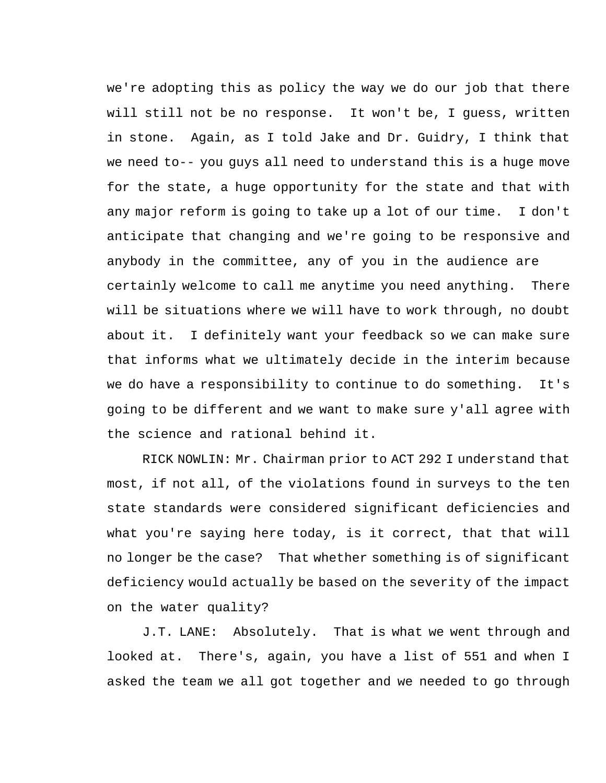we're adopting this as policy the way we do our job that there will still not be no response. It won't be, I guess, written in stone. Again, as I told Jake and Dr. Guidry, I think that we need to-- you guys all need to understand this is a huge move for the state, a huge opportunity for the state and that with any major reform is going to take up a lot of our time. I don't anticipate that changing and we're going to be responsive and anybody in the committee, any of you in the audience are certainly welcome to call me anytime you need anything. There will be situations where we will have to work through, no doubt about it. I definitely want your feedback so we can make sure that informs what we ultimately decide in the interim because we do have a responsibility to continue to do something. It's going to be different and we want to make sure y'all agree with the science and rational behind it.

RICK NOWLIN: Mr. Chairman prior to ACT 292 I understand that most, if not all, of the violations found in surveys to the ten state standards were considered significant deficiencies and what you're saying here today, is it correct, that that will no longer be the case? That whether something is of significant deficiency would actually be based on the severity of the impact on the water quality?

J.T. LANE: Absolutely. That is what we went through and looked at. There's, again, you have a list of 551 and when I asked the team we all got together and we needed to go through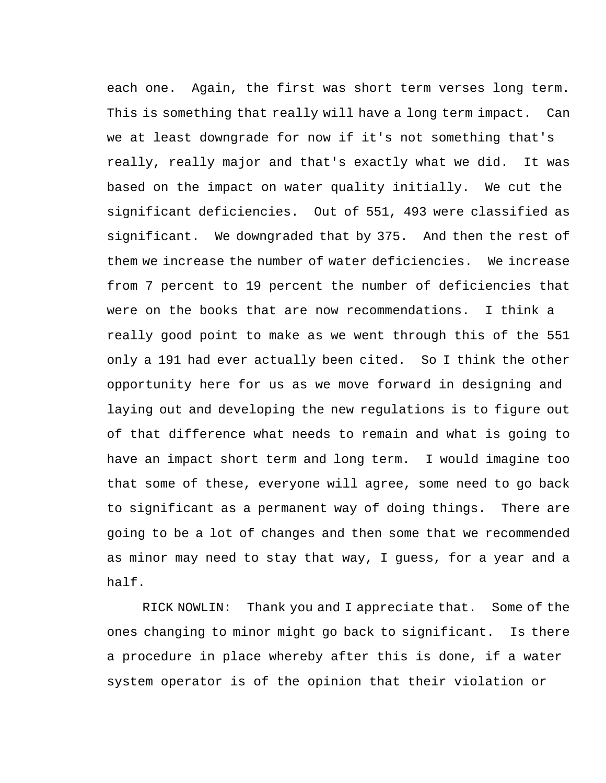each one. Again, the first was short term verses long term. This is something that really will have a long term impact. Can we at least downgrade for now if it's not something that's really, really major and that's exactly what we did. It was based on the impact on water quality initially. We cut the significant deficiencies. Out of 551, 493 were classified as significant. We downgraded that by 375. And then the rest of them we increase the number of water deficiencies. We increase from 7 percent to 19 percent the number of deficiencies that were on the books that are now recommendations. I think a really good point to make as we went through this of the 551 only a 191 had ever actually been cited. So I think the other opportunity here for us as we move forward in designing and laying out and developing the new regulations is to figure out of that difference what needs to remain and what is going to have an impact short term and long term. I would imagine too that some of these, everyone will agree, some need to go back to significant as a permanent way of doing things. There are going to be a lot of changes and then some that we recommended as minor may need to stay that way, I guess, for a year and a half.

RICK NOWLIN: Thank you and I appreciate that. Some of the ones changing to minor might go back to significant. Is there a procedure in place whereby after this is done, if a water system operator is of the opinion that their violation or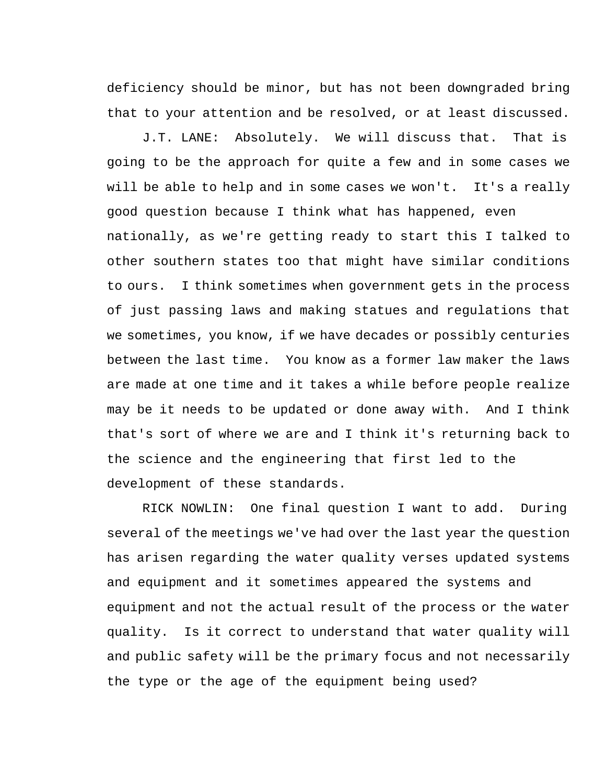deficiency should be minor, but has not been downgraded bring that to your attention and be resolved, or at least discussed.

J.T. LANE: Absolutely. We will discuss that. That is going to be the approach for quite a few and in some cases we will be able to help and in some cases we won't. It's a really good question because I think what has happened, even nationally, as we're getting ready to start this I talked to other southern states too that might have similar conditions to ours. I think sometimes when government gets in the process of just passing laws and making statues and regulations that we sometimes, you know, if we have decades or possibly centuries between the last time. You know as a former law maker the laws are made at one time and it takes a while before people realize may be it needs to be updated or done away with. And I think that's sort of where we are and I think it's returning back to the science and the engineering that first led to the development of these standards.

RICK NOWLIN: One final question I want to add. During several of the meetings we've had over the last year the question has arisen regarding the water quality verses updated systems and equipment and it sometimes appeared the systems and equipment and not the actual result of the process or the water quality. Is it correct to understand that water quality will and public safety will be the primary focus and not necessarily the type or the age of the equipment being used?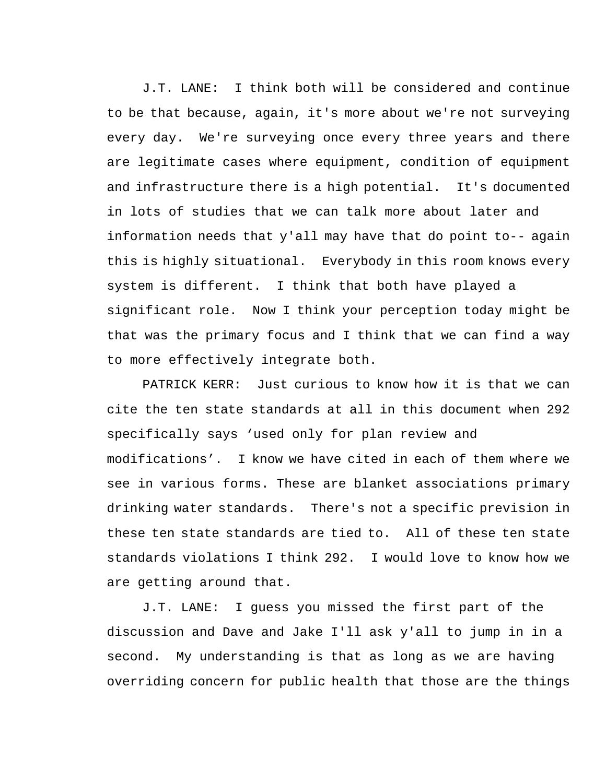J.T. LANE: I think both will be considered and continue to be that because, again, it's more about we're not surveying every day. We're surveying once every three years and there are legitimate cases where equipment, condition of equipment and infrastructure there is a high potential. It's documented in lots of studies that we can talk more about later and information needs that y'all may have that do point to-- again this is highly situational. Everybody in this room knows every system is different. I think that both have played a significant role. Now I think your perception today might be that was the primary focus and I think that we can find a way to more effectively integrate both.

PATRICK KERR: Just curious to know how it is that we can cite the ten state standards at all in this document when 292 specifically says 'used only for plan review and modifications'. I know we have cited in each of them where we see in various forms. These are blanket associations primary drinking water standards. There's not a specific prevision in these ten state standards are tied to. All of these ten state standards violations I think 292. I would love to know how we are getting around that.

J.T. LANE: I guess you missed the first part of the discussion and Dave and Jake I'll ask y'all to jump in in a second. My understanding is that as long as we are having overriding concern for public health that those are the things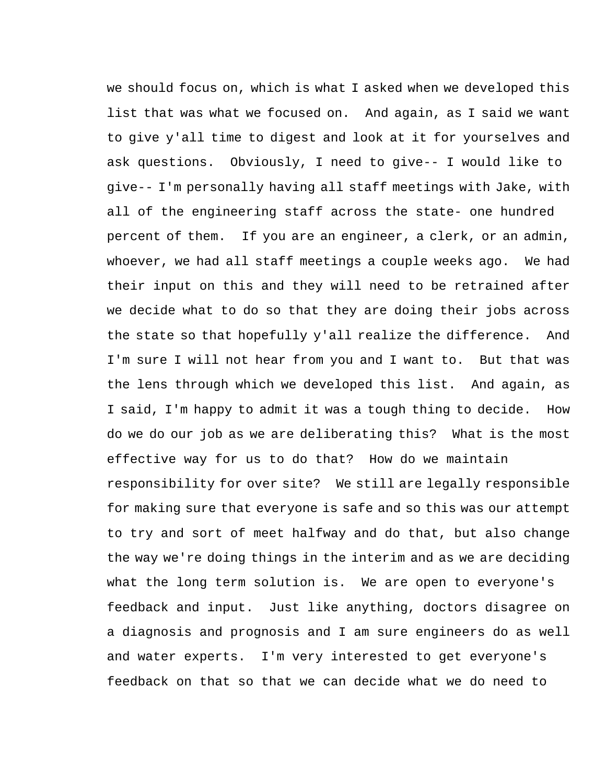we should focus on, which is what I asked when we developed this list that was what we focused on. And again, as I said we want to give y'all time to digest and look at it for yourselves and ask questions. Obviously, I need to give-- I would like to give-- I'm personally having all staff meetings with Jake, with all of the engineering staff across the state- one hundred percent of them. If you are an engineer, a clerk, or an admin, whoever, we had all staff meetings a couple weeks ago. We had their input on this and they will need to be retrained after we decide what to do so that they are doing their jobs across the state so that hopefully y'all realize the difference. And I'm sure I will not hear from you and I want to. But that was the lens through which we developed this list. And again, as I said, I'm happy to admit it was a tough thing to decide. How do we do our job as we are deliberating this? What is the most effective way for us to do that? How do we maintain responsibility for over site? We still are legally responsible for making sure that everyone is safe and so this was our attempt to try and sort of meet halfway and do that, but also change the way we're doing things in the interim and as we are deciding what the long term solution is. We are open to everyone's feedback and input. Just like anything, doctors disagree on a diagnosis and prognosis and I am sure engineers do as well and water experts. I'm very interested to get everyone's feedback on that so that we can decide what we do need to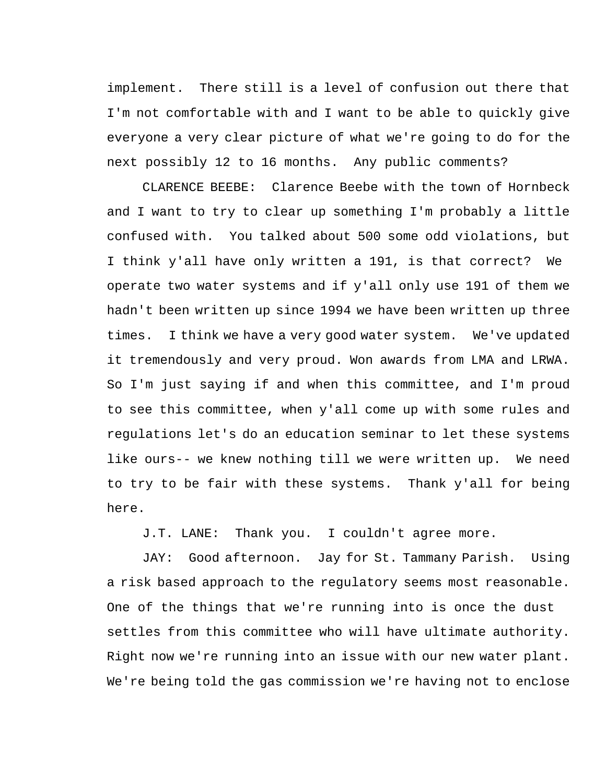implement. There still is a level of confusion out there that I'm not comfortable with and I want to be able to quickly give everyone a very clear picture of what we're going to do for the next possibly 12 to 16 months. Any public comments?

CLARENCE BEEBE: Clarence Beebe with the town of Hornbeck and I want to try to clear up something I'm probably a little confused with. You talked about 500 some odd violations, but I think y'all have only written a 191, is that correct? We operate two water systems and if y'all only use 191 of them we hadn't been written up since 1994 we have been written up three times. I think we have a very good water system. We've updated it tremendously and very proud. Won awards from LMA and LRWA. So I'm just saying if and when this committee, and I'm proud to see this committee, when y'all come up with some rules and regulations let's do an education seminar to let these systems like ours-- we knew nothing till we were written up. We need to try to be fair with these systems. Thank y'all for being here.

J.T. LANE: Thank you. I couldn't agree more.

JAY: Good afternoon. Jay for St. Tammany Parish. Using a risk based approach to the regulatory seems most reasonable. One of the things that we're running into is once the dust settles from this committee who will have ultimate authority. Right now we're running into an issue with our new water plant. We're being told the gas commission we're having not to enclose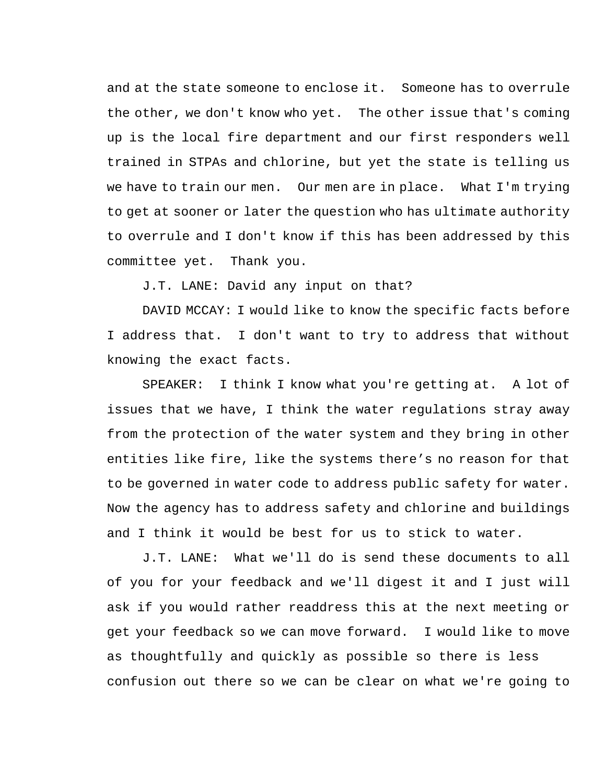and at the state someone to enclose it. Someone has to overrule the other, we don't know who yet. The other issue that's coming up is the local fire department and our first responders well trained in STPAs and chlorine, but yet the state is telling us we have to train our men. Our men are in place. What I'm trying to get at sooner or later the question who has ultimate authority to overrule and I don't know if this has been addressed by this committee yet. Thank you.

J.T. LANE: David any input on that?

DAVID MCCAY: I would like to know the specific facts before I address that. I don't want to try to address that without knowing the exact facts.

SPEAKER: I think I know what you're getting at. A lot of issues that we have, I think the water regulations stray away from the protection of the water system and they bring in other entities like fire, like the systems there's no reason for that to be governed in water code to address public safety for water. Now the agency has to address safety and chlorine and buildings and I think it would be best for us to stick to water.

J.T. LANE: What we'll do is send these documents to all of you for your feedback and we'll digest it and I just will ask if you would rather readdress this at the next meeting or get your feedback so we can move forward. I would like to move as thoughtfully and quickly as possible so there is less confusion out there so we can be clear on what we're going to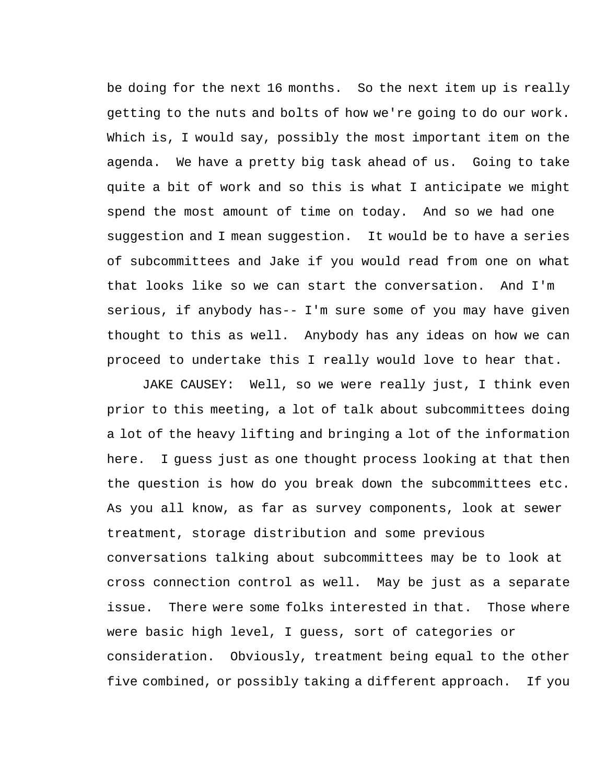be doing for the next 16 months. So the next item up is really getting to the nuts and bolts of how we're going to do our work. Which is, I would say, possibly the most important item on the agenda. We have a pretty big task ahead of us. Going to take quite a bit of work and so this is what I anticipate we might spend the most amount of time on today. And so we had one suggestion and I mean suggestion. It would be to have a series of subcommittees and Jake if you would read from one on what that looks like so we can start the conversation. And I'm serious, if anybody has-- I'm sure some of you may have given thought to this as well. Anybody has any ideas on how we can proceed to undertake this I really would love to hear that.

JAKE CAUSEY: Well, so we were really just, I think even prior to this meeting, a lot of talk about subcommittees doing a lot of the heavy lifting and bringing a lot of the information here. I guess just as one thought process looking at that then the question is how do you break down the subcommittees etc. As you all know, as far as survey components, look at sewer treatment, storage distribution and some previous conversations talking about subcommittees may be to look at cross connection control as well. May be just as a separate issue. There were some folks interested in that. Those where were basic high level, I guess, sort of categories or consideration. Obviously, treatment being equal to the other five combined, or possibly taking a different approach. If you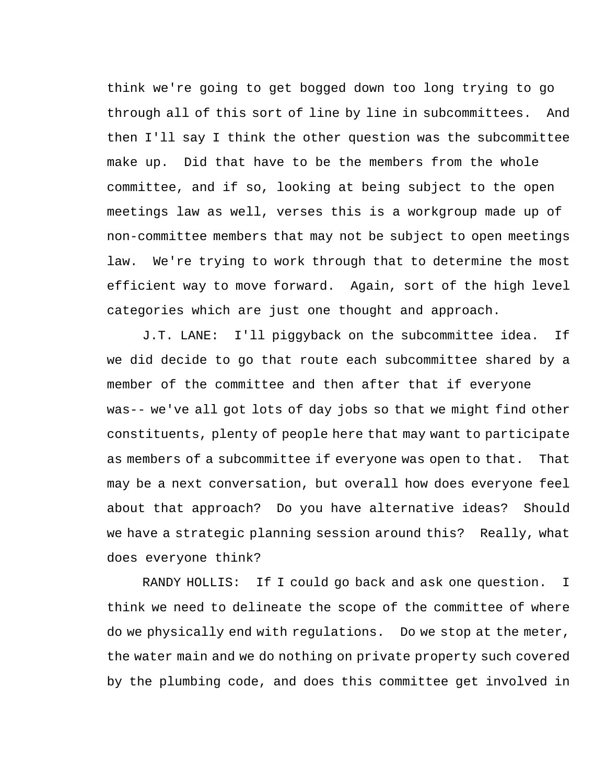think we're going to get bogged down too long trying to go through all of this sort of line by line in subcommittees. And then I'll say I think the other question was the subcommittee make up. Did that have to be the members from the whole committee, and if so, looking at being subject to the open meetings law as well, verses this is a workgroup made up of non-committee members that may not be subject to open meetings law. We're trying to work through that to determine the most efficient way to move forward. Again, sort of the high level categories which are just one thought and approach.

J.T. LANE: I'll piggyback on the subcommittee idea. If we did decide to go that route each subcommittee shared by a member of the committee and then after that if everyone was-- we've all got lots of day jobs so that we might find other constituents, plenty of people here that may want to participate as members of a subcommittee if everyone was open to that. That may be a next conversation, but overall how does everyone feel about that approach? Do you have alternative ideas? Should we have a strategic planning session around this? Really, what does everyone think?

RANDY HOLLIS: If I could go back and ask one question. I think we need to delineate the scope of the committee of where do we physically end with regulations. Do we stop at the meter, the water main and we do nothing on private property such covered by the plumbing code, and does this committee get involved in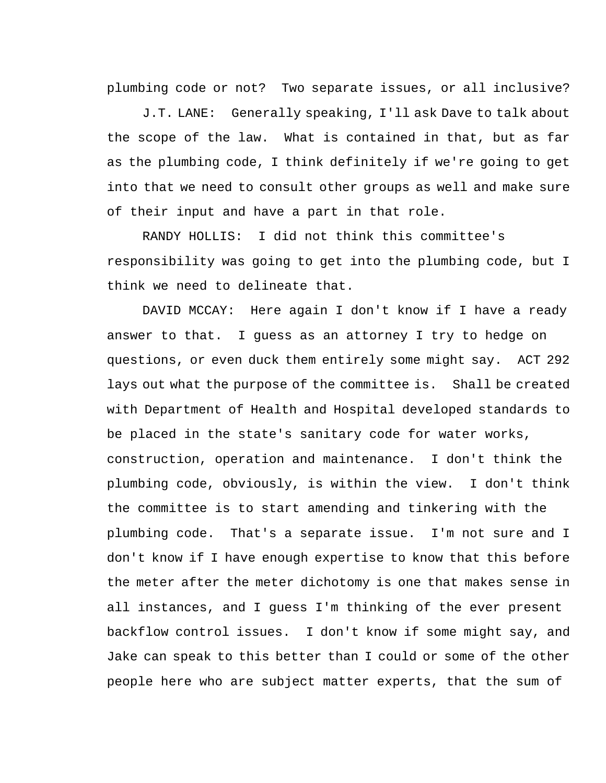plumbing code or not? Two separate issues, or all inclusive?

J.T. LANE: Generally speaking, I'll ask Dave to talk about the scope of the law. What is contained in that, but as far as the plumbing code, I think definitely if we're going to get into that we need to consult other groups as well and make sure of their input and have a part in that role.

RANDY HOLLIS: I did not think this committee's responsibility was going to get into the plumbing code, but I think we need to delineate that.

DAVID MCCAY: Here again I don't know if I have a ready answer to that. I guess as an attorney I try to hedge on questions, or even duck them entirely some might say. ACT 292 lays out what the purpose of the committee is. Shall be created with Department of Health and Hospital developed standards to be placed in the state's sanitary code for water works, construction, operation and maintenance. I don't think the plumbing code, obviously, is within the view. I don't think the committee is to start amending and tinkering with the plumbing code. That's a separate issue. I'm not sure and I don't know if I have enough expertise to know that this before the meter after the meter dichotomy is one that makes sense in all instances, and I guess I'm thinking of the ever present backflow control issues. I don't know if some might say, and Jake can speak to this better than I could or some of the other people here who are subject matter experts, that the sum of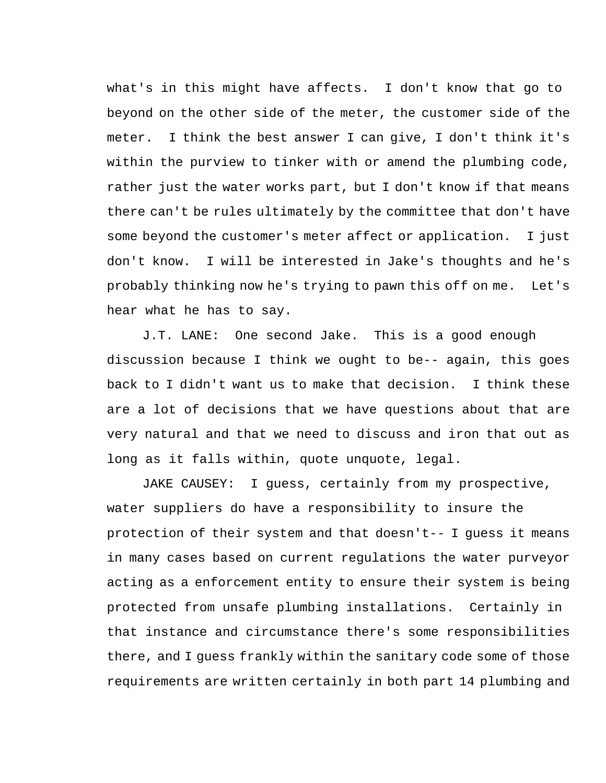what's in this might have affects. I don't know that go to beyond on the other side of the meter, the customer side of the meter. I think the best answer I can give, I don't think it's within the purview to tinker with or amend the plumbing code, rather just the water works part, but I don't know if that means there can't be rules ultimately by the committee that don't have some beyond the customer's meter affect or application. I just don't know. I will be interested in Jake's thoughts and he's probably thinking now he's trying to pawn this off on me. Let's hear what he has to say.

J.T. LANE: One second Jake. This is a good enough discussion because I think we ought to be-- again, this goes back to I didn't want us to make that decision. I think these are a lot of decisions that we have questions about that are very natural and that we need to discuss and iron that out as long as it falls within, quote unquote, legal.

JAKE CAUSEY: I guess, certainly from my prospective, water suppliers do have a responsibility to insure the protection of their system and that doesn't-- I guess it means in many cases based on current regulations the water purveyor acting as a enforcement entity to ensure their system is being protected from unsafe plumbing installations. Certainly in that instance and circumstance there's some responsibilities there, and I guess frankly within the sanitary code some of those requirements are written certainly in both part 14 plumbing and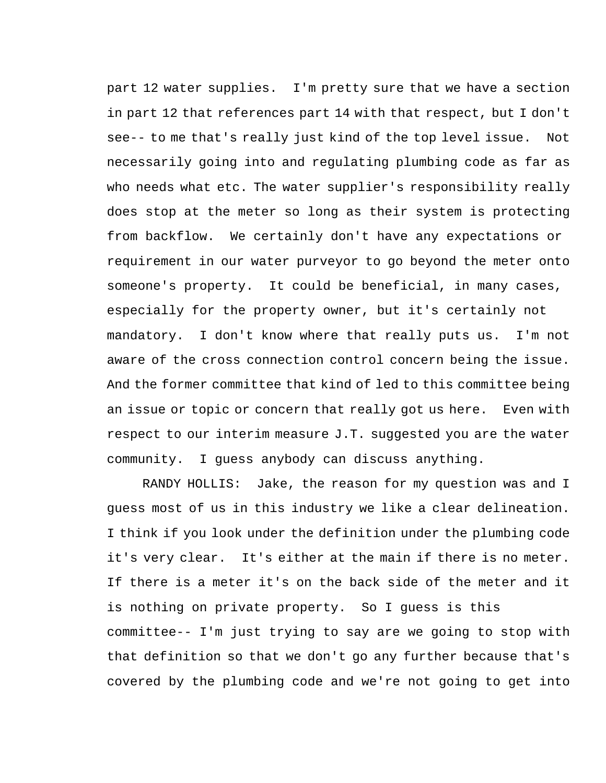part 12 water supplies. I'm pretty sure that we have a section in part 12 that references part 14 with that respect, but I don't see-- to me that's really just kind of the top level issue. Not necessarily going into and regulating plumbing code as far as who needs what etc. The water supplier's responsibility really does stop at the meter so long as their system is protecting from backflow. We certainly don't have any expectations or requirement in our water purveyor to go beyond the meter onto someone's property. It could be beneficial, in many cases, especially for the property owner, but it's certainly not mandatory. I don't know where that really puts us. I'm not aware of the cross connection control concern being the issue. And the former committee that kind of led to this committee being an issue or topic or concern that really got us here. Even with respect to our interim measure J.T. suggested you are the water community. I guess anybody can discuss anything.

RANDY HOLLIS: Jake, the reason for my question was and I guess most of us in this industry we like a clear delineation. I think if you look under the definition under the plumbing code it's very clear. It's either at the main if there is no meter. If there is a meter it's on the back side of the meter and it is nothing on private property. So I guess is this committee-- I'm just trying to say are we going to stop with that definition so that we don't go any further because that's covered by the plumbing code and we're not going to get into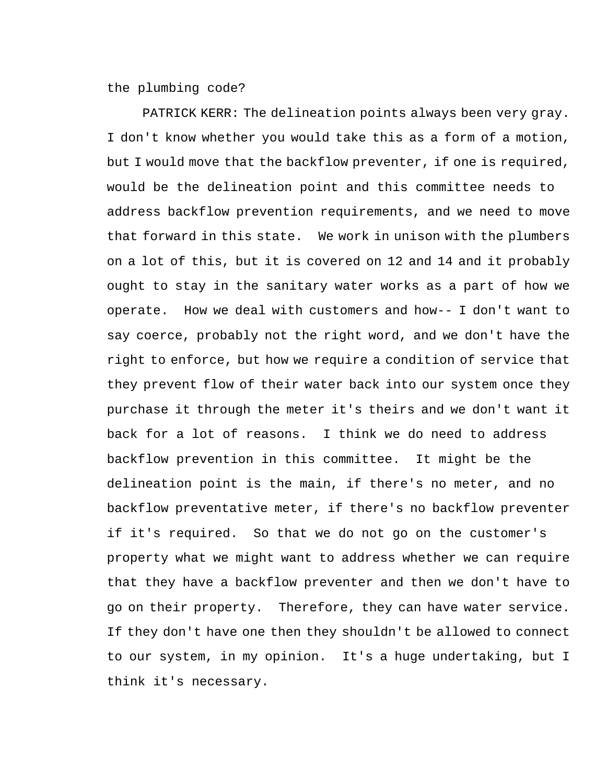the plumbing code?

PATRICK KERR: The delineation points always been very gray. I don't know whether you would take this as a form of a motion, but I would move that the backflow preventer, if one is required, would be the delineation point and this committee needs to address backflow prevention requirements, and we need to move that forward in this state. We work in unison with the plumbers on a lot of this, but it is covered on 12 and 14 and it probably ought to stay in the sanitary water works as a part of how we operate. How we deal with customers and how-- I don't want to say coerce, probably not the right word, and we don't have the right to enforce, but how we require a condition of service that they prevent flow of their water back into our system once they purchase it through the meter it's theirs and we don't want it back for a lot of reasons. I think we do need to address backflow prevention in this committee. It might be the delineation point is the main, if there's no meter, and no backflow preventative meter, if there's no backflow preventer if it's required. So that we do not go on the customer's property what we might want to address whether we can require that they have a backflow preventer and then we don't have to go on their property. Therefore, they can have water service. If they don't have one then they shouldn't be allowed to connect to our system, in my opinion. It's a huge undertaking, but I think it's necessary.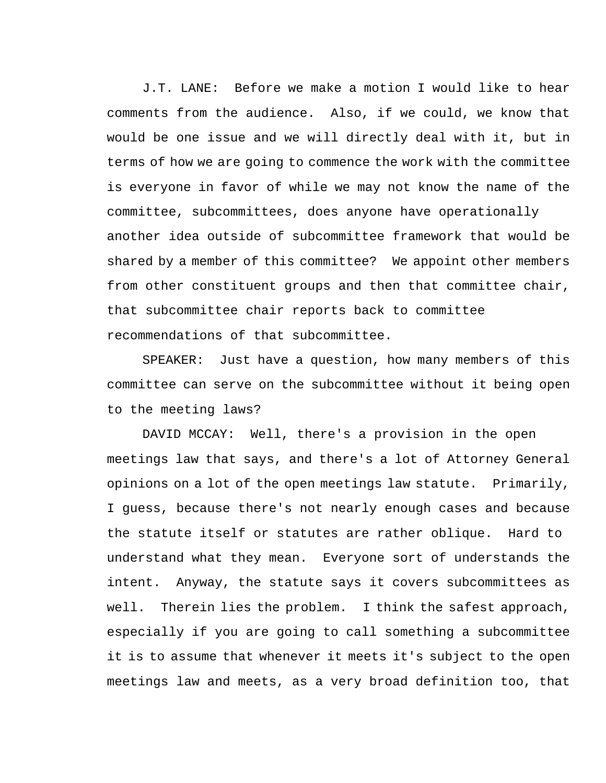J.T. LANE: Before we make a motion I would like to hear comments from the audience. Also, if we could, we know that would be one issue and we will directly deal with it, but in terms of how we are going to commence the work with the committee is everyone in favor of while we may not know the name of the committee, subcommittees, does anyone have operationally another idea outside of subcommittee framework that would be shared by a member of this committee? We appoint other members from other constituent groups and then that committee chair, that subcommittee chair reports back to committee recommendations of that subcommittee.

SPEAKER: Just have a question, how many members of this committee can serve on the subcommittee without it being open to the meeting laws?

DAVID MCCAY: Well, there's a provision in the open meetings law that says, and there's a lot of Attorney General opinions on a lot of the open meetings law statute. Primarily, I guess, because there's not nearly enough cases and because the statute itself or statutes are rather oblique. Hard to understand what they mean. Everyone sort of understands the intent. Anyway, the statute says it covers subcommittees as well. Therein lies the problem. I think the safest approach, especially if you are going to call something a subcommittee it is to assume that whenever it meets it's subject to the open meetings law and meets, as a very broad definition too, that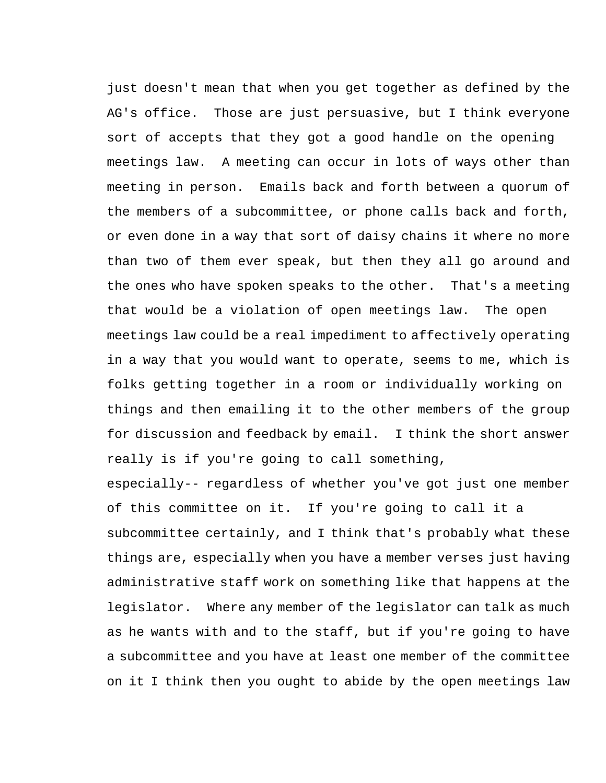just doesn't mean that when you get together as defined by the AG's office. Those are just persuasive, but I think everyone sort of accepts that they got a good handle on the opening meetings law. A meeting can occur in lots of ways other than meeting in person. Emails back and forth between a quorum of the members of a subcommittee, or phone calls back and forth, or even done in a way that sort of daisy chains it where no more than two of them ever speak, but then they all go around and the ones who have spoken speaks to the other. That's a meeting that would be a violation of open meetings law. The open meetings law could be a real impediment to affectively operating in a way that you would want to operate, seems to me, which is folks getting together in a room or individually working on things and then emailing it to the other members of the group for discussion and feedback by email. I think the short answer really is if you're going to call something,

especially-- regardless of whether you've got just one member of this committee on it. If you're going to call it a subcommittee certainly, and I think that's probably what these things are, especially when you have a member verses just having administrative staff work on something like that happens at the legislator. Where any member of the legislator can talk as much as he wants with and to the staff, but if you're going to have a subcommittee and you have at least one member of the committee on it I think then you ought to abide by the open meetings law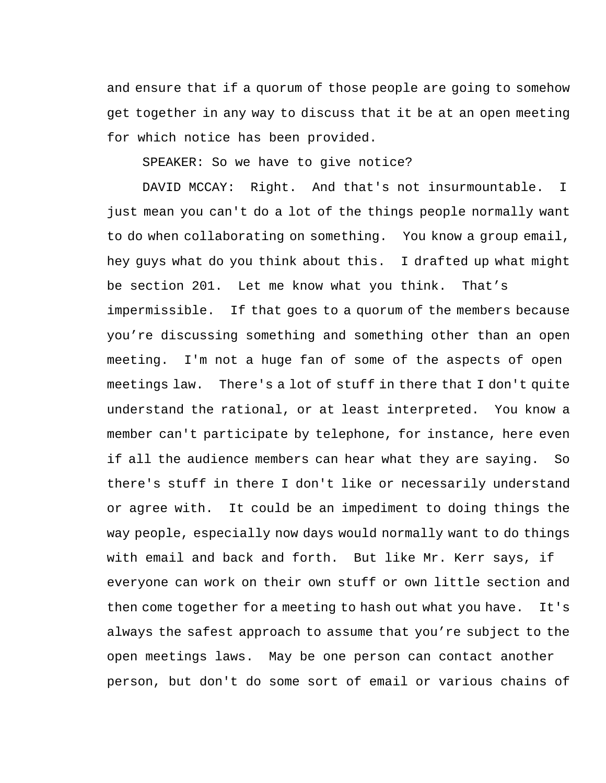and ensure that if a quorum of those people are going to somehow get together in any way to discuss that it be at an open meeting for which notice has been provided.

SPEAKER: So we have to give notice?

DAVID MCCAY: Right. And that's not insurmountable. I just mean you can't do a lot of the things people normally want to do when collaborating on something. You know a group email, hey guys what do you think about this. I drafted up what might be section 201. Let me know what you think. That's impermissible. If that goes to a quorum of the members because you're discussing something and something other than an open meeting. I'm not a huge fan of some of the aspects of open meetings law. There's a lot of stuff in there that I don't quite understand the rational, or at least interpreted. You know a member can't participate by telephone, for instance, here even if all the audience members can hear what they are saying. So there's stuff in there I don't like or necessarily understand or agree with. It could be an impediment to doing things the way people, especially now days would normally want to do things with email and back and forth. But like Mr. Kerr says, if everyone can work on their own stuff or own little section and then come together for a meeting to hash out what you have. It's always the safest approach to assume that you're subject to the open meetings laws. May be one person can contact another person, but don't do some sort of email or various chains of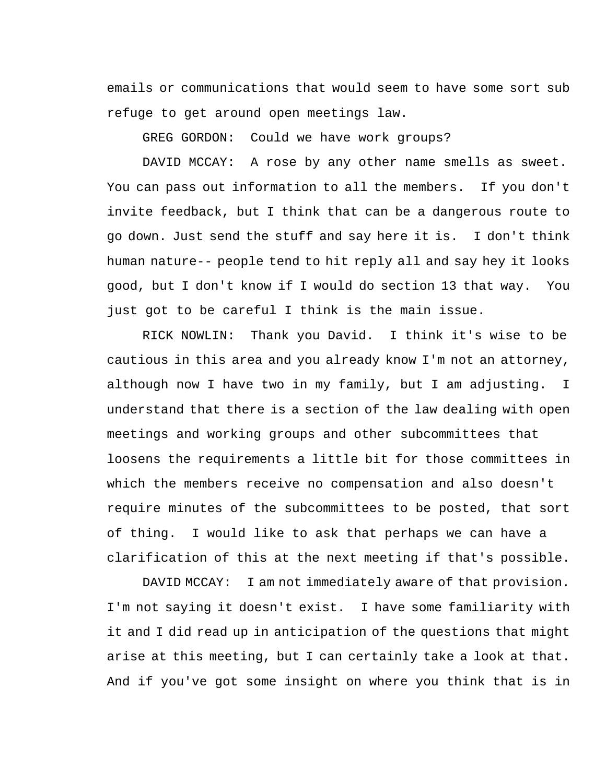emails or communications that would seem to have some sort sub refuge to get around open meetings law.

GREG GORDON: Could we have work groups?

DAVID MCCAY: A rose by any other name smells as sweet. You can pass out information to all the members. If you don't invite feedback, but I think that can be a dangerous route to go down. Just send the stuff and say here it is. I don't think human nature-- people tend to hit reply all and say hey it looks good, but I don't know if I would do section 13 that way. You just got to be careful I think is the main issue.

RICK NOWLIN: Thank you David. I think it's wise to be cautious in this area and you already know I'm not an attorney, although now I have two in my family, but I am adjusting. I understand that there is a section of the law dealing with open meetings and working groups and other subcommittees that loosens the requirements a little bit for those committees in which the members receive no compensation and also doesn't require minutes of the subcommittees to be posted, that sort of thing. I would like to ask that perhaps we can have a clarification of this at the next meeting if that's possible.

DAVID MCCAY: I am not immediately aware of that provision. I'm not saying it doesn't exist. I have some familiarity with it and I did read up in anticipation of the questions that might arise at this meeting, but I can certainly take a look at that. And if you've got some insight on where you think that is in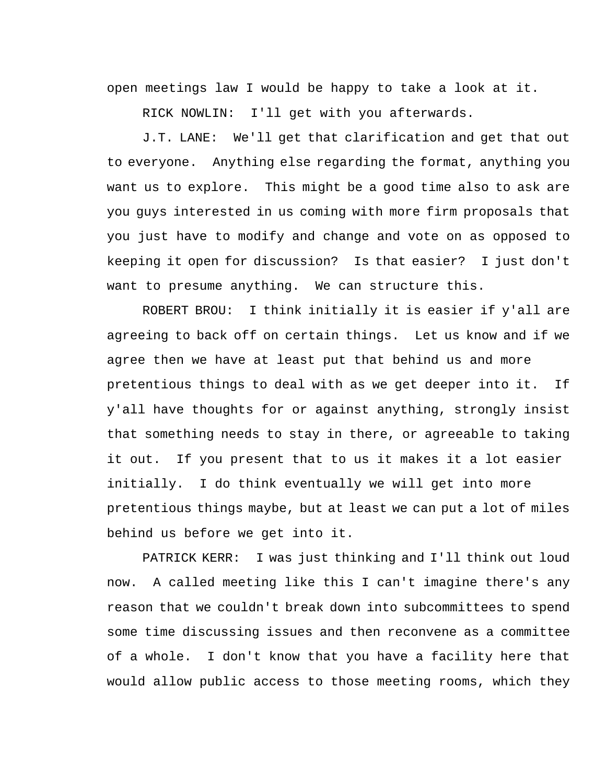open meetings law I would be happy to take a look at it.

RICK NOWLIN: I'll get with you afterwards.

J.T. LANE: We'll get that clarification and get that out to everyone. Anything else regarding the format, anything you want us to explore. This might be a good time also to ask are you guys interested in us coming with more firm proposals that you just have to modify and change and vote on as opposed to keeping it open for discussion? Is that easier? I just don't want to presume anything. We can structure this.

ROBERT BROU: I think initially it is easier if y'all are agreeing to back off on certain things. Let us know and if we agree then we have at least put that behind us and more pretentious things to deal with as we get deeper into it. If y'all have thoughts for or against anything, strongly insist that something needs to stay in there, or agreeable to taking it out. If you present that to us it makes it a lot easier initially. I do think eventually we will get into more pretentious things maybe, but at least we can put a lot of miles behind us before we get into it.

PATRICK KERR: I was just thinking and I'll think out loud now. A called meeting like this I can't imagine there's any reason that we couldn't break down into subcommittees to spend some time discussing issues and then reconvene as a committee of a whole. I don't know that you have a facility here that would allow public access to those meeting rooms, which they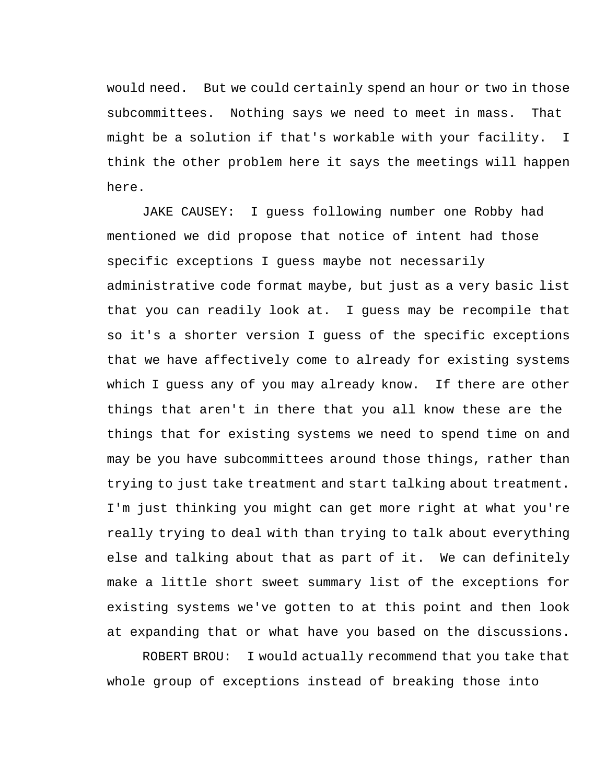would need. But we could certainly spend an hour or two in those subcommittees. Nothing says we need to meet in mass. That might be a solution if that's workable with your facility. I think the other problem here it says the meetings will happen here.

JAKE CAUSEY: I guess following number one Robby had mentioned we did propose that notice of intent had those specific exceptions I guess maybe not necessarily administrative code format maybe, but just as a very basic list that you can readily look at. I guess may be recompile that so it's a shorter version I guess of the specific exceptions that we have affectively come to already for existing systems which I guess any of you may already know. If there are other things that aren't in there that you all know these are the things that for existing systems we need to spend time on and may be you have subcommittees around those things, rather than trying to just take treatment and start talking about treatment. I'm just thinking you might can get more right at what you're really trying to deal with than trying to talk about everything else and talking about that as part of it. We can definitely make a little short sweet summary list of the exceptions for existing systems we've gotten to at this point and then look at expanding that or what have you based on the discussions.

ROBERT BROU: I would actually recommend that you take that whole group of exceptions instead of breaking those into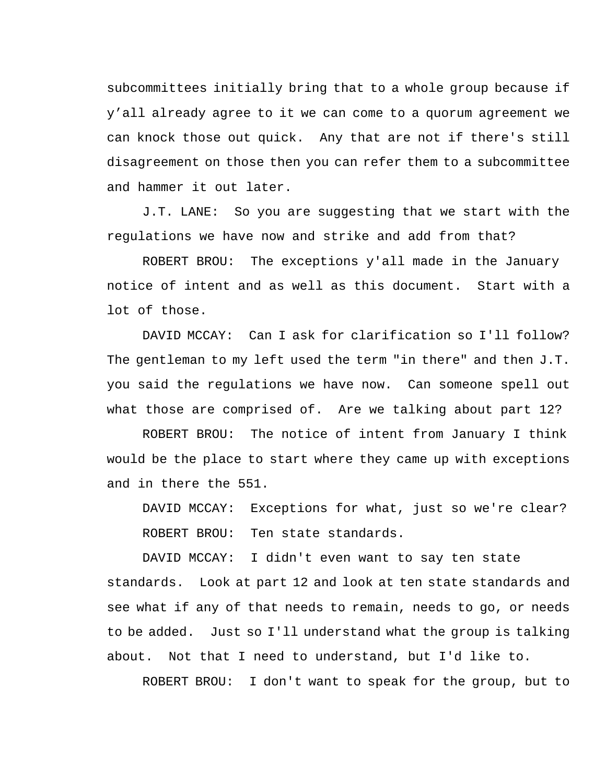subcommittees initially bring that to a whole group because if y'all already agree to it we can come to a quorum agreement we can knock those out quick. Any that are not if there's still disagreement on those then you can refer them to a subcommittee and hammer it out later.

J.T. LANE: So you are suggesting that we start with the regulations we have now and strike and add from that?

ROBERT BROU: The exceptions y'all made in the January notice of intent and as well as this document. Start with a lot of those.

DAVID MCCAY: Can I ask for clarification so I'll follow? The gentleman to my left used the term "in there" and then J.T. you said the regulations we have now. Can someone spell out what those are comprised of. Are we talking about part 12?

ROBERT BROU: The notice of intent from January I think would be the place to start where they came up with exceptions and in there the 551.

DAVID MCCAY: Exceptions for what, just so we're clear? ROBERT BROU: Ten state standards.

DAVID MCCAY: I didn't even want to say ten state standards. Look at part 12 and look at ten state standards and see what if any of that needs to remain, needs to go, or needs to be added. Just so I'll understand what the group is talking about. Not that I need to understand, but I'd like to.

ROBERT BROU: I don't want to speak for the group, but to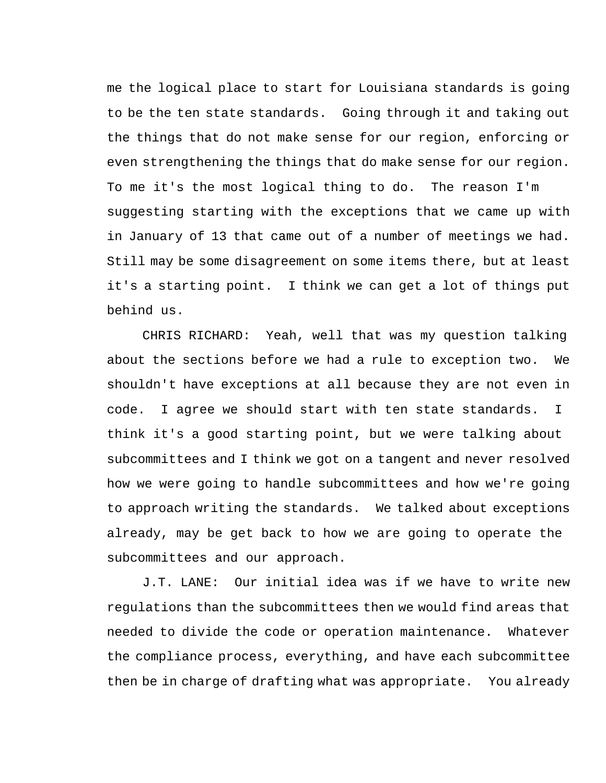me the logical place to start for Louisiana standards is going to be the ten state standards. Going through it and taking out the things that do not make sense for our region, enforcing or even strengthening the things that do make sense for our region. To me it's the most logical thing to do. The reason I'm suggesting starting with the exceptions that we came up with in January of 13 that came out of a number of meetings we had. Still may be some disagreement on some items there, but at least it's a starting point. I think we can get a lot of things put behind us.

CHRIS RICHARD: Yeah, well that was my question talking about the sections before we had a rule to exception two. We shouldn't have exceptions at all because they are not even in code. I agree we should start with ten state standards. I think it's a good starting point, but we were talking about subcommittees and I think we got on a tangent and never resolved how we were going to handle subcommittees and how we're going to approach writing the standards. We talked about exceptions already, may be get back to how we are going to operate the subcommittees and our approach.

J.T. LANE: Our initial idea was if we have to write new regulations than the subcommittees then we would find areas that needed to divide the code or operation maintenance. Whatever the compliance process, everything, and have each subcommittee then be in charge of drafting what was appropriate. You already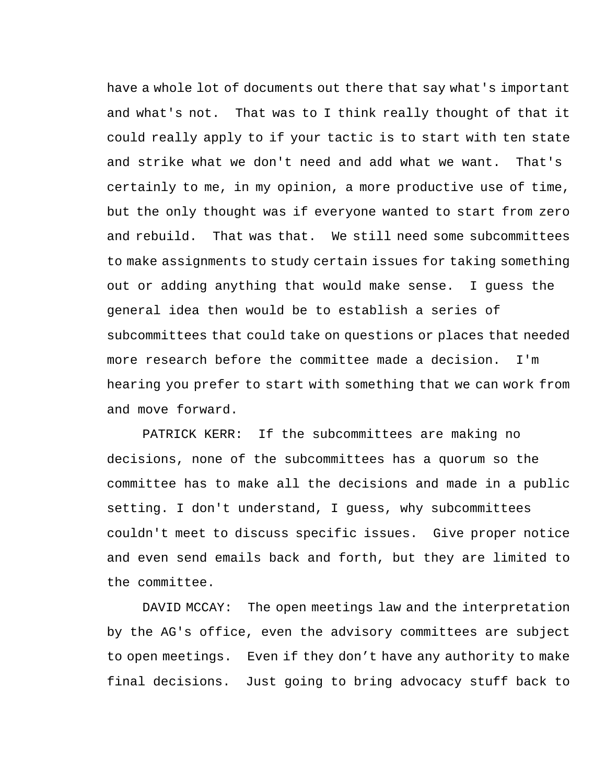have a whole lot of documents out there that say what's important and what's not. That was to I think really thought of that it could really apply to if your tactic is to start with ten state and strike what we don't need and add what we want. That's certainly to me, in my opinion, a more productive use of time, but the only thought was if everyone wanted to start from zero and rebuild. That was that. We still need some subcommittees to make assignments to study certain issues for taking something out or adding anything that would make sense. I guess the general idea then would be to establish a series of subcommittees that could take on questions or places that needed more research before the committee made a decision. I'm hearing you prefer to start with something that we can work from and move forward.

PATRICK KERR: If the subcommittees are making no decisions, none of the subcommittees has a quorum so the committee has to make all the decisions and made in a public setting. I don't understand, I guess, why subcommittees couldn't meet to discuss specific issues. Give proper notice and even send emails back and forth, but they are limited to the committee.

DAVID MCCAY: The open meetings law and the interpretation by the AG's office, even the advisory committees are subject to open meetings. Even if they don't have any authority to make final decisions. Just going to bring advocacy stuff back to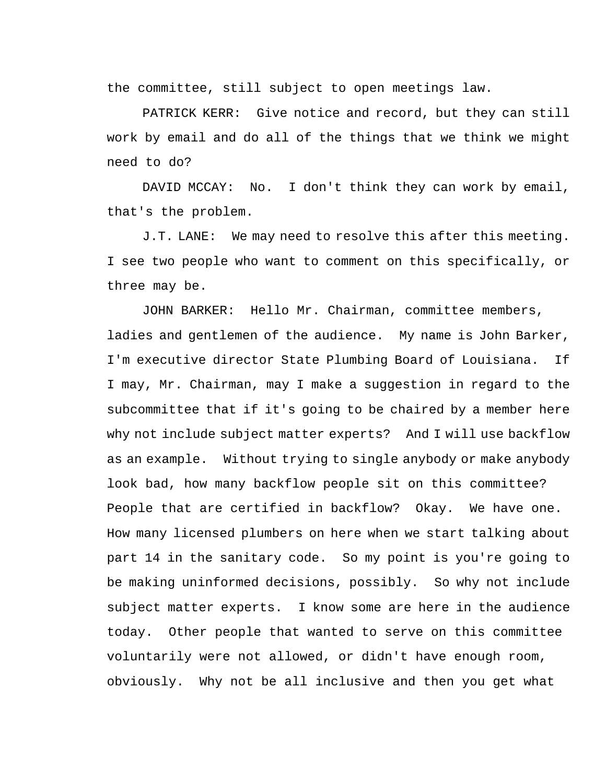the committee, still subject to open meetings law.

PATRICK KERR: Give notice and record, but they can still work by email and do all of the things that we think we might need to do?

DAVID MCCAY: No. I don't think they can work by email, that's the problem.

J.T. LANE: We may need to resolve this after this meeting. I see two people who want to comment on this specifically, or three may be.

JOHN BARKER: Hello Mr. Chairman, committee members, ladies and gentlemen of the audience. My name is John Barker, I'm executive director State Plumbing Board of Louisiana. If I may, Mr. Chairman, may I make a suggestion in regard to the subcommittee that if it's going to be chaired by a member here why not include subject matter experts? And I will use backflow as an example. Without trying to single anybody or make anybody look bad, how many backflow people sit on this committee? People that are certified in backflow? Okay. We have one. How many licensed plumbers on here when we start talking about part 14 in the sanitary code. So my point is you're going to be making uninformed decisions, possibly. So why not include subject matter experts. I know some are here in the audience today. Other people that wanted to serve on this committee voluntarily were not allowed, or didn't have enough room, obviously. Why not be all inclusive and then you get what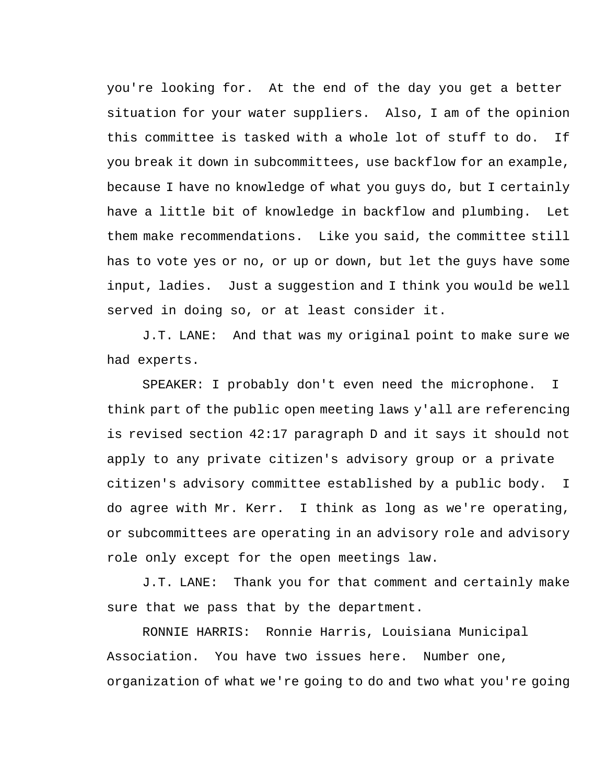you're looking for. At the end of the day you get a better situation for your water suppliers. Also, I am of the opinion this committee is tasked with a whole lot of stuff to do. If you break it down in subcommittees, use backflow for an example, because I have no knowledge of what you guys do, but I certainly have a little bit of knowledge in backflow and plumbing. Let them make recommendations. Like you said, the committee still has to vote yes or no, or up or down, but let the guys have some input, ladies. Just a suggestion and I think you would be well served in doing so, or at least consider it.

J.T. LANE: And that was my original point to make sure we had experts.

SPEAKER: I probably don't even need the microphone. I think part of the public open meeting laws y'all are referencing is revised section 42:17 paragraph D and it says it should not apply to any private citizen's advisory group or a private citizen's advisory committee established by a public body. I do agree with Mr. Kerr. I think as long as we're operating, or subcommittees are operating in an advisory role and advisory role only except for the open meetings law.

J.T. LANE: Thank you for that comment and certainly make sure that we pass that by the department.

RONNIE HARRIS: Ronnie Harris, Louisiana Municipal Association. You have two issues here. Number one, organization of what we're going to do and two what you're going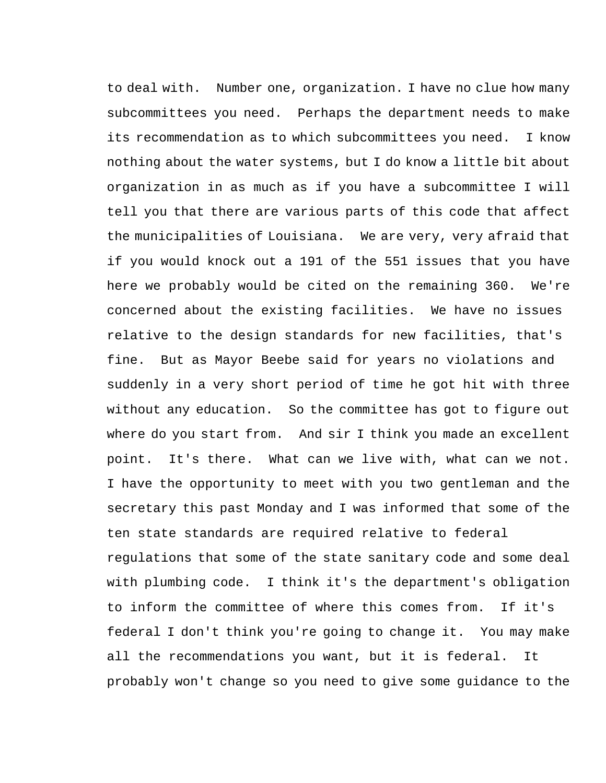to deal with. Number one, organization. I have no clue how many subcommittees you need. Perhaps the department needs to make its recommendation as to which subcommittees you need. I know nothing about the water systems, but I do know a little bit about organization in as much as if you have a subcommittee I will tell you that there are various parts of this code that affect the municipalities of Louisiana. We are very, very afraid that if you would knock out a 191 of the 551 issues that you have here we probably would be cited on the remaining 360. We're concerned about the existing facilities. We have no issues relative to the design standards for new facilities, that's fine. But as Mayor Beebe said for years no violations and suddenly in a very short period of time he got hit with three without any education. So the committee has got to figure out where do you start from. And sir I think you made an excellent point. It's there. What can we live with, what can we not. I have the opportunity to meet with you two gentleman and the secretary this past Monday and I was informed that some of the ten state standards are required relative to federal regulations that some of the state sanitary code and some deal with plumbing code. I think it's the department's obligation to inform the committee of where this comes from. If it's federal I don't think you're going to change it. You may make all the recommendations you want, but it is federal. It probably won't change so you need to give some guidance to the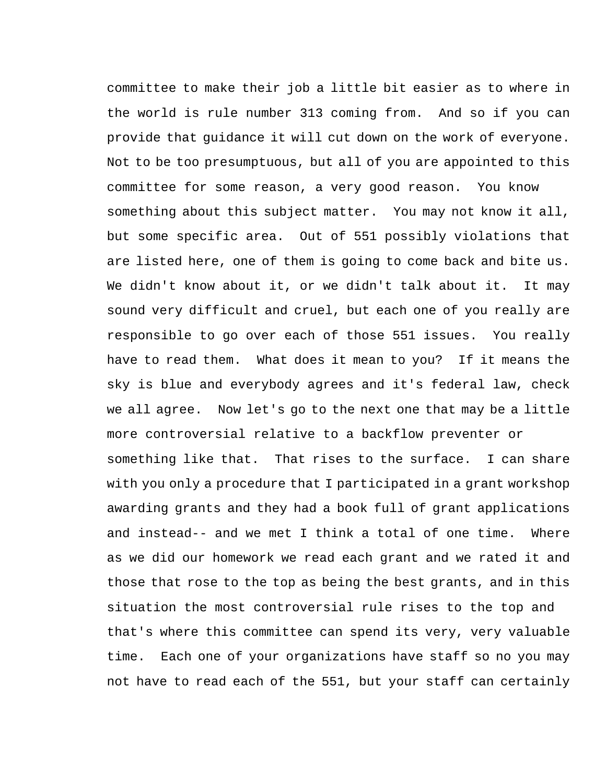committee to make their job a little bit easier as to where in the world is rule number 313 coming from. And so if you can provide that guidance it will cut down on the work of everyone. Not to be too presumptuous, but all of you are appointed to this committee for some reason, a very good reason. You know something about this subject matter. You may not know it all, but some specific area. Out of 551 possibly violations that are listed here, one of them is going to come back and bite us. We didn't know about it, or we didn't talk about it. It may sound very difficult and cruel, but each one of you really are responsible to go over each of those 551 issues. You really have to read them. What does it mean to you? If it means the sky is blue and everybody agrees and it's federal law, check we all agree. Now let's go to the next one that may be a little more controversial relative to a backflow preventer or something like that. That rises to the surface. I can share with you only a procedure that I participated in a grant workshop awarding grants and they had a book full of grant applications and instead-- and we met I think a total of one time. Where as we did our homework we read each grant and we rated it and those that rose to the top as being the best grants, and in this situation the most controversial rule rises to the top and that's where this committee can spend its very, very valuable time. Each one of your organizations have staff so no you may not have to read each of the 551, but your staff can certainly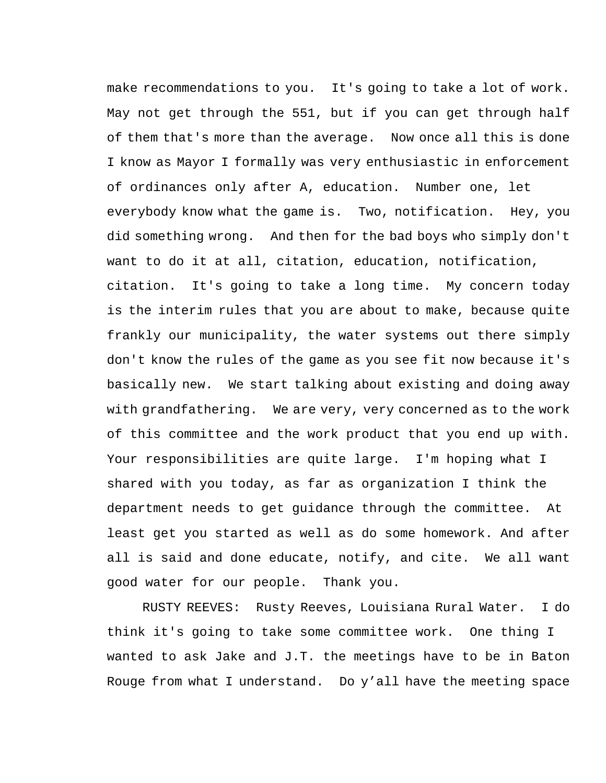make recommendations to you. It's going to take a lot of work. May not get through the 551, but if you can get through half of them that's more than the average. Now once all this is done I know as Mayor I formally was very enthusiastic in enforcement of ordinances only after A, education. Number one, let everybody know what the game is. Two, notification. Hey, you did something wrong. And then for the bad boys who simply don't want to do it at all, citation, education, notification, citation. It's going to take a long time. My concern today is the interim rules that you are about to make, because quite frankly our municipality, the water systems out there simply don't know the rules of the game as you see fit now because it's basically new. We start talking about existing and doing away with grandfathering. We are very, very concerned as to the work of this committee and the work product that you end up with. Your responsibilities are quite large. I'm hoping what I shared with you today, as far as organization I think the department needs to get guidance through the committee. At least get you started as well as do some homework. And after all is said and done educate, notify, and cite. We all want good water for our people. Thank you.

RUSTY REEVES: Rusty Reeves, Louisiana Rural Water. I do think it's going to take some committee work. One thing I wanted to ask Jake and J.T. the meetings have to be in Baton Rouge from what I understand. Do y'all have the meeting space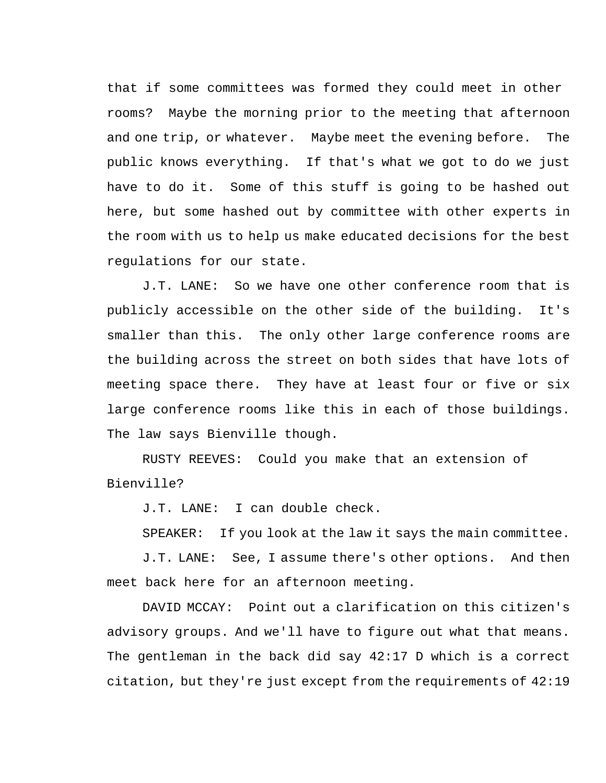that if some committees was formed they could meet in other rooms? Maybe the morning prior to the meeting that afternoon and one trip, or whatever. Maybe meet the evening before. The public knows everything. If that's what we got to do we just have to do it. Some of this stuff is going to be hashed out here, but some hashed out by committee with other experts in the room with us to help us make educated decisions for the best regulations for our state.

J.T. LANE: So we have one other conference room that is publicly accessible on the other side of the building. It's smaller than this. The only other large conference rooms are the building across the street on both sides that have lots of meeting space there. They have at least four or five or six large conference rooms like this in each of those buildings. The law says Bienville though.

RUSTY REEVES: Could you make that an extension of Bienville?

J.T. LANE: I can double check.

SPEAKER: If you look at the law it says the main committee.

J.T. LANE: See, I assume there's other options. And then meet back here for an afternoon meeting.

DAVID MCCAY: Point out a clarification on this citizen's advisory groups. And we'll have to figure out what that means. The gentleman in the back did say 42:17 D which is a correct citation, but they're just except from the requirements of 42:19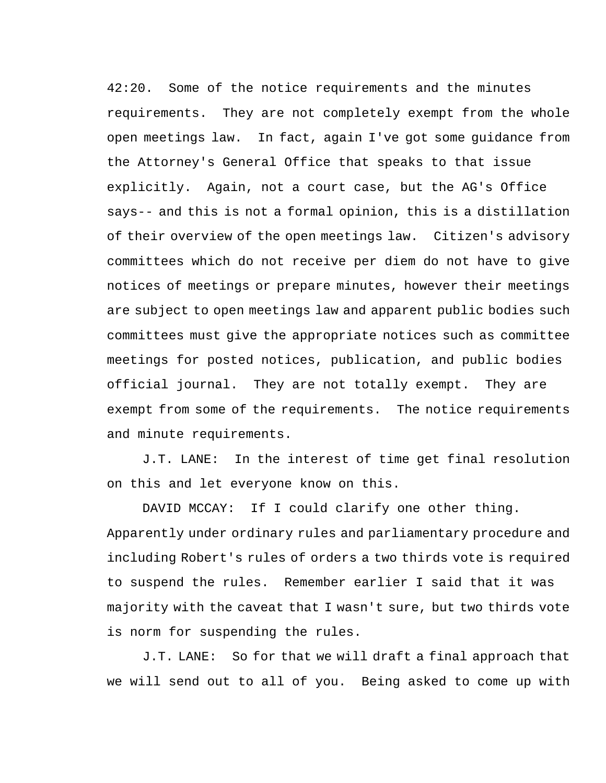42:20. Some of the notice requirements and the minutes requirements. They are not completely exempt from the whole open meetings law. In fact, again I've got some guidance from the Attorney's General Office that speaks to that issue explicitly. Again, not a court case, but the AG's Office says-- and this is not a formal opinion, this is a distillation of their overview of the open meetings law. Citizen's advisory committees which do not receive per diem do not have to give notices of meetings or prepare minutes, however their meetings are subject to open meetings law and apparent public bodies such committees must give the appropriate notices such as committee meetings for posted notices, publication, and public bodies official journal. They are not totally exempt. They are exempt from some of the requirements. The notice requirements and minute requirements.

J.T. LANE: In the interest of time get final resolution on this and let everyone know on this.

DAVID MCCAY: If I could clarify one other thing. Apparently under ordinary rules and parliamentary procedure and including Robert's rules of orders a two thirds vote is required to suspend the rules. Remember earlier I said that it was majority with the caveat that I wasn't sure, but two thirds vote is norm for suspending the rules.

J.T. LANE: So for that we will draft a final approach that we will send out to all of you. Being asked to come up with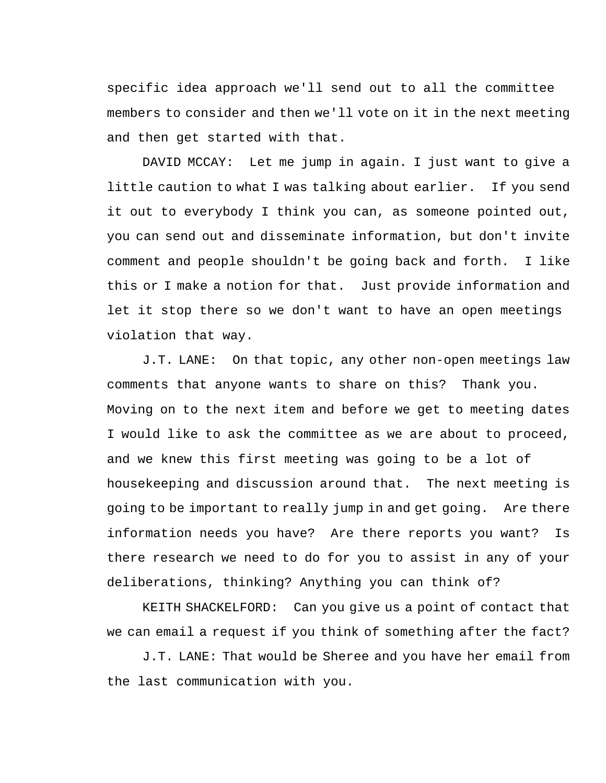specific idea approach we'll send out to all the committee members to consider and then we'll vote on it in the next meeting and then get started with that.

DAVID MCCAY: Let me jump in again. I just want to give a little caution to what I was talking about earlier. If you send it out to everybody I think you can, as someone pointed out, you can send out and disseminate information, but don't invite comment and people shouldn't be going back and forth. I like this or I make a notion for that. Just provide information and let it stop there so we don't want to have an open meetings violation that way.

J.T. LANE: On that topic, any other non-open meetings law comments that anyone wants to share on this? Thank you. Moving on to the next item and before we get to meeting dates I would like to ask the committee as we are about to proceed, and we knew this first meeting was going to be a lot of housekeeping and discussion around that. The next meeting is going to be important to really jump in and get going. Are there information needs you have? Are there reports you want? Is there research we need to do for you to assist in any of your deliberations, thinking? Anything you can think of?

KEITH SHACKELFORD: Can you give us a point of contact that we can email a request if you think of something after the fact?

J.T. LANE: That would be Sheree and you have her email from the last communication with you.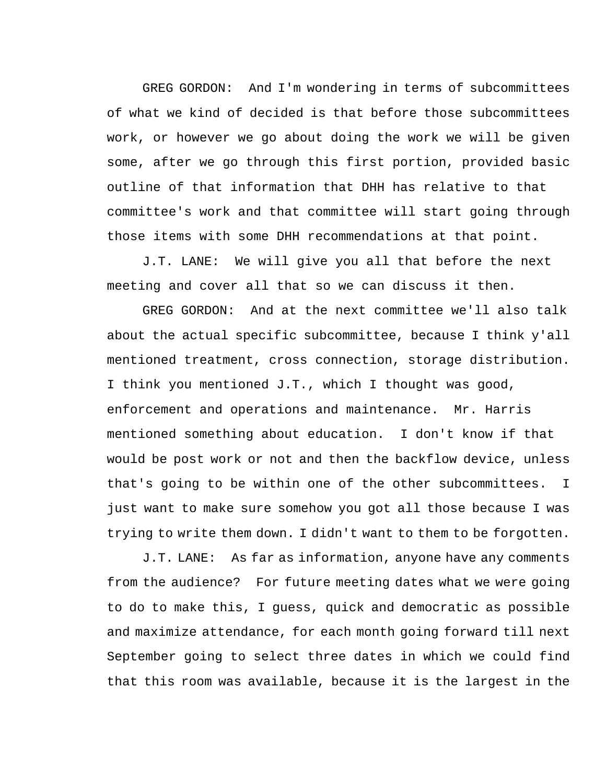GREG GORDON: And I'm wondering in terms of subcommittees of what we kind of decided is that before those subcommittees work, or however we go about doing the work we will be given some, after we go through this first portion, provided basic outline of that information that DHH has relative to that committee's work and that committee will start going through those items with some DHH recommendations at that point.

J.T. LANE: We will give you all that before the next meeting and cover all that so we can discuss it then.

GREG GORDON: And at the next committee we'll also talk about the actual specific subcommittee, because I think y'all mentioned treatment, cross connection, storage distribution. I think you mentioned J.T., which I thought was good, enforcement and operations and maintenance. Mr. Harris mentioned something about education. I don't know if that would be post work or not and then the backflow device, unless that's going to be within one of the other subcommittees. I just want to make sure somehow you got all those because I was trying to write them down. I didn't want to them to be forgotten.

J.T. LANE: As far as information, anyone have any comments from the audience? For future meeting dates what we were going to do to make this, I guess, quick and democratic as possible and maximize attendance, for each month going forward till next September going to select three dates in which we could find that this room was available, because it is the largest in the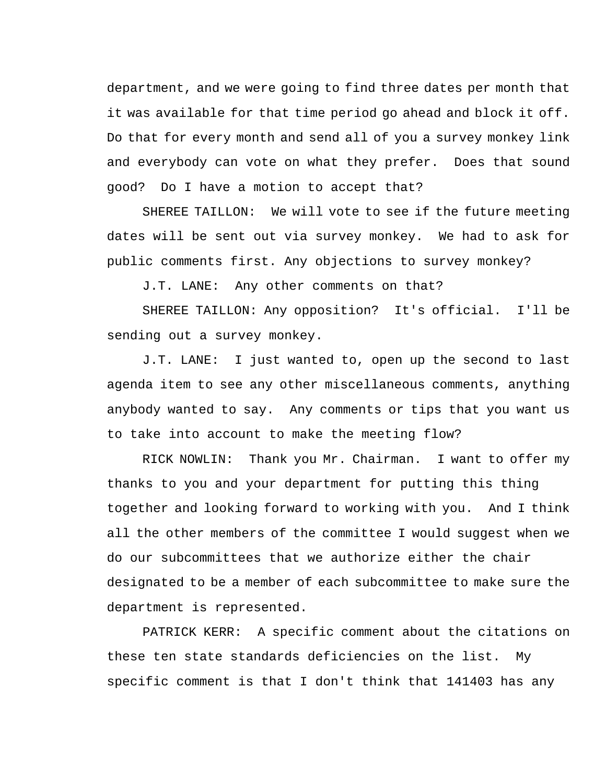department, and we were going to find three dates per month that it was available for that time period go ahead and block it off. Do that for every month and send all of you a survey monkey link and everybody can vote on what they prefer. Does that sound good? Do I have a motion to accept that?

SHEREE TAILLON: We will vote to see if the future meeting dates will be sent out via survey monkey. We had to ask for public comments first. Any objections to survey monkey?

J.T. LANE: Any other comments on that?

SHEREE TAILLON: Any opposition? It's official. I'll be sending out a survey monkey.

J.T. LANE: I just wanted to, open up the second to last agenda item to see any other miscellaneous comments, anything anybody wanted to say. Any comments or tips that you want us to take into account to make the meeting flow?

RICK NOWLIN: Thank you Mr. Chairman. I want to offer my thanks to you and your department for putting this thing together and looking forward to working with you. And I think all the other members of the committee I would suggest when we do our subcommittees that we authorize either the chair designated to be a member of each subcommittee to make sure the department is represented.

PATRICK KERR: A specific comment about the citations on these ten state standards deficiencies on the list. My specific comment is that I don't think that 141403 has any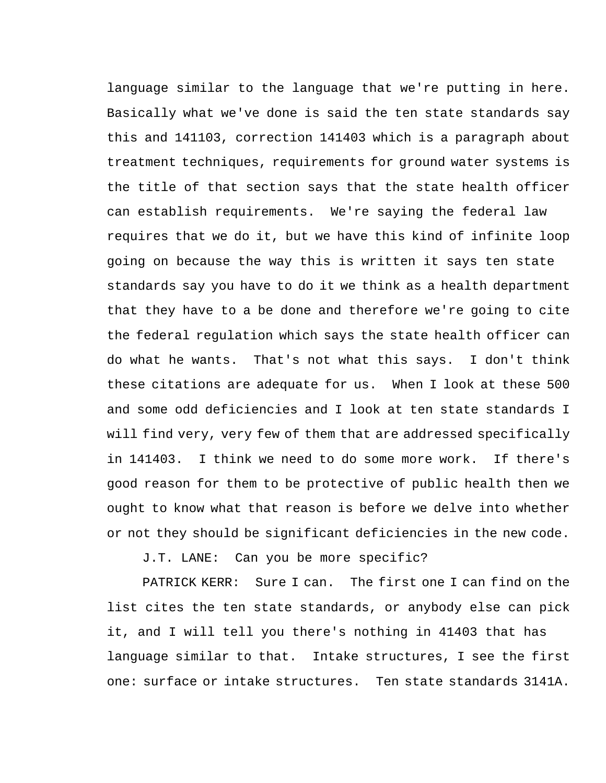language similar to the language that we're putting in here. Basically what we've done is said the ten state standards say this and 141103, correction 141403 which is a paragraph about treatment techniques, requirements for ground water systems is the title of that section says that the state health officer can establish requirements. We're saying the federal law requires that we do it, but we have this kind of infinite loop going on because the way this is written it says ten state standards say you have to do it we think as a health department that they have to a be done and therefore we're going to cite the federal regulation which says the state health officer can do what he wants. That's not what this says. I don't think these citations are adequate for us. When I look at these 500 and some odd deficiencies and I look at ten state standards I will find very, very few of them that are addressed specifically in 141403. I think we need to do some more work. If there's good reason for them to be protective of public health then we ought to know what that reason is before we delve into whether or not they should be significant deficiencies in the new code.

J.T. LANE: Can you be more specific?

PATRICK KERR: Sure I can. The first one I can find on the list cites the ten state standards, or anybody else can pick it, and I will tell you there's nothing in 41403 that has language similar to that. Intake structures, I see the first one: surface or intake structures. Ten state standards 3141A.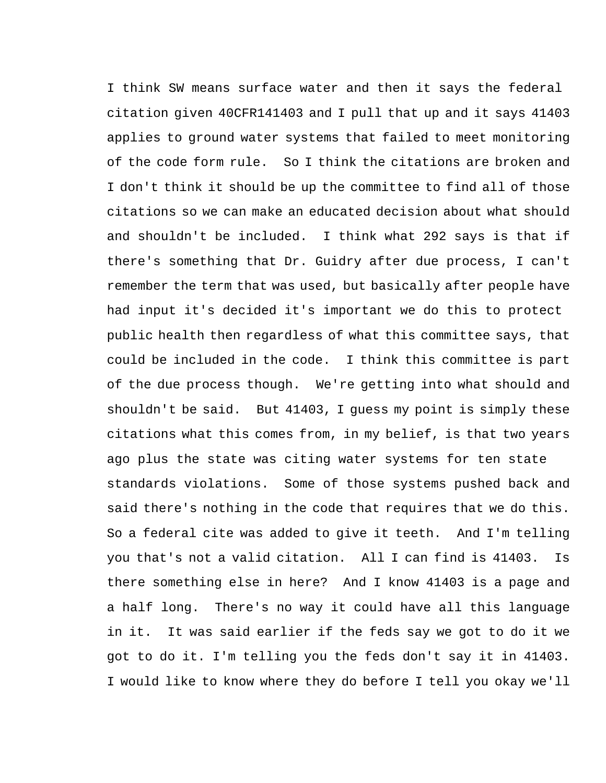I think SW means surface water and then it says the federal citation given 40CFR141403 and I pull that up and it says 41403 applies to ground water systems that failed to meet monitoring of the code form rule. So I think the citations are broken and I don't think it should be up the committee to find all of those citations so we can make an educated decision about what should and shouldn't be included. I think what 292 says is that if there's something that Dr. Guidry after due process, I can't remember the term that was used, but basically after people have had input it's decided it's important we do this to protect public health then regardless of what this committee says, that could be included in the code. I think this committee is part of the due process though. We're getting into what should and shouldn't be said. But 41403, I guess my point is simply these citations what this comes from, in my belief, is that two years ago plus the state was citing water systems for ten state standards violations. Some of those systems pushed back and said there's nothing in the code that requires that we do this. So a federal cite was added to give it teeth. And I'm telling you that's not a valid citation. All I can find is 41403. Is there something else in here? And I know 41403 is a page and a half long. There's no way it could have all this language in it. It was said earlier if the feds say we got to do it we got to do it. I'm telling you the feds don't say it in 41403. I would like to know where they do before I tell you okay we'll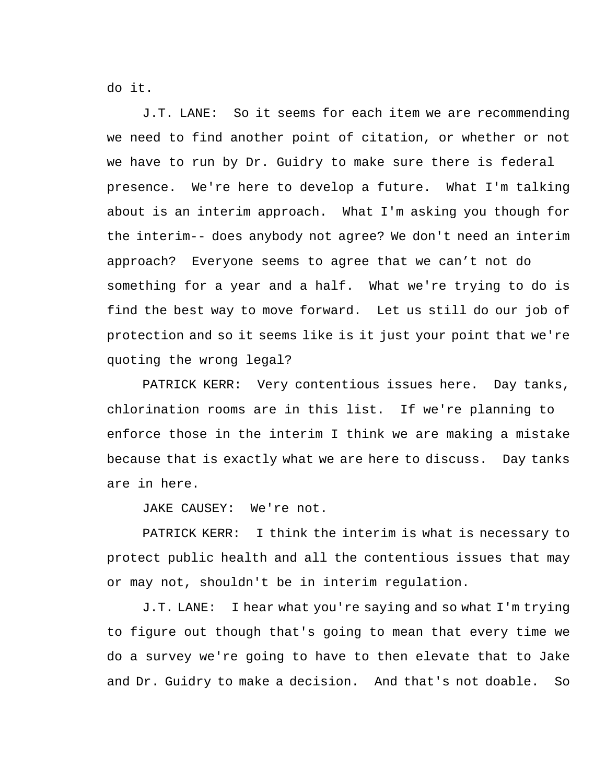do it.

J.T. LANE: So it seems for each item we are recommending we need to find another point of citation, or whether or not we have to run by Dr. Guidry to make sure there is federal presence. We're here to develop a future. What I'm talking about is an interim approach. What I'm asking you though for the interim-- does anybody not agree? We don't need an interim approach? Everyone seems to agree that we can't not do something for a year and a half. What we're trying to do is find the best way to move forward. Let us still do our job of protection and so it seems like is it just your point that we're quoting the wrong legal?

PATRICK KERR: Very contentious issues here. Day tanks, chlorination rooms are in this list. If we're planning to enforce those in the interim I think we are making a mistake because that is exactly what we are here to discuss. Day tanks are in here.

JAKE CAUSEY: We're not.

PATRICK KERR: I think the interim is what is necessary to protect public health and all the contentious issues that may or may not, shouldn't be in interim regulation.

J.T. LANE: I hear what you're saying and so what I'm trying to figure out though that's going to mean that every time we do a survey we're going to have to then elevate that to Jake and Dr. Guidry to make a decision. And that's not doable. So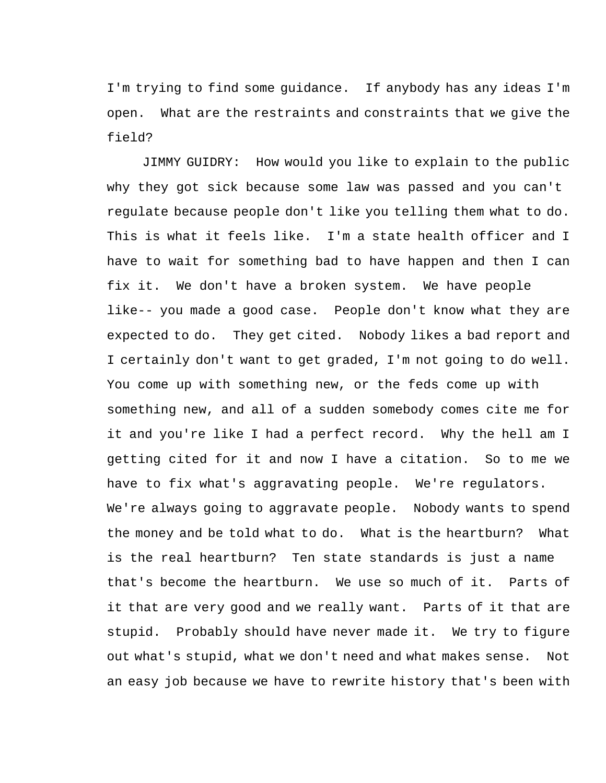I'm trying to find some guidance. If anybody has any ideas I'm open. What are the restraints and constraints that we give the field?

JIMMY GUIDRY: How would you like to explain to the public why they got sick because some law was passed and you can't regulate because people don't like you telling them what to do. This is what it feels like. I'm a state health officer and I have to wait for something bad to have happen and then I can fix it. We don't have a broken system. We have people like-- you made a good case. People don't know what they are expected to do. They get cited. Nobody likes a bad report and I certainly don't want to get graded, I'm not going to do well. You come up with something new, or the feds come up with something new, and all of a sudden somebody comes cite me for it and you're like I had a perfect record. Why the hell am I getting cited for it and now I have a citation. So to me we have to fix what's aggravating people. We're regulators. We're always going to aggravate people. Nobody wants to spend the money and be told what to do. What is the heartburn? What is the real heartburn? Ten state standards is just a name that's become the heartburn. We use so much of it. Parts of it that are very good and we really want. Parts of it that are stupid. Probably should have never made it. We try to figure out what's stupid, what we don't need and what makes sense. Not an easy job because we have to rewrite history that's been with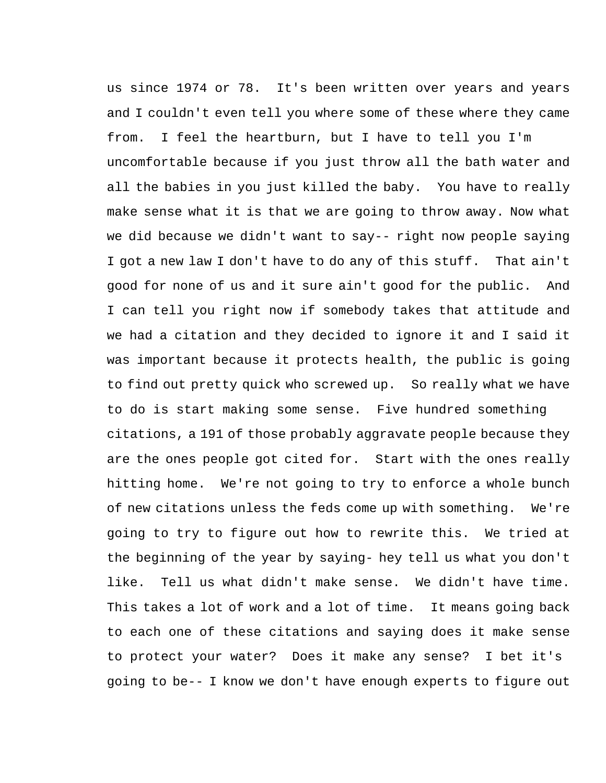us since 1974 or 78. It's been written over years and years and I couldn't even tell you where some of these where they came from. I feel the heartburn, but I have to tell you I'm uncomfortable because if you just throw all the bath water and all the babies in you just killed the baby. You have to really make sense what it is that we are going to throw away. Now what we did because we didn't want to say-- right now people saying I got a new law I don't have to do any of this stuff. That ain't good for none of us and it sure ain't good for the public. And I can tell you right now if somebody takes that attitude and we had a citation and they decided to ignore it and I said it was important because it protects health, the public is going to find out pretty quick who screwed up. So really what we have to do is start making some sense. Five hundred something citations, a 191 of those probably aggravate people because they are the ones people got cited for. Start with the ones really hitting home. We're not going to try to enforce a whole bunch of new citations unless the feds come up with something. We're going to try to figure out how to rewrite this. We tried at the beginning of the year by saying- hey tell us what you don't like. Tell us what didn't make sense. We didn't have time. This takes a lot of work and a lot of time. It means going back to each one of these citations and saying does it make sense to protect your water? Does it make any sense? I bet it's going to be-- I know we don't have enough experts to figure out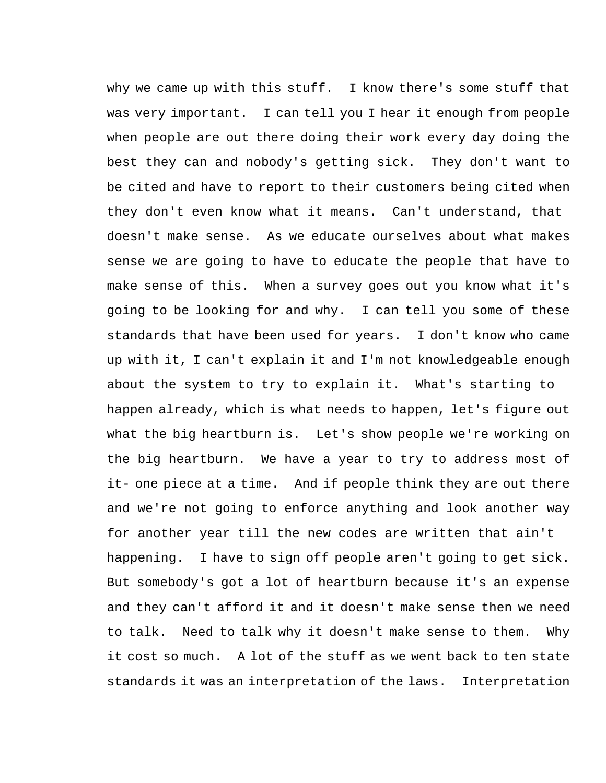why we came up with this stuff. I know there's some stuff that was very important. I can tell you I hear it enough from people when people are out there doing their work every day doing the best they can and nobody's getting sick. They don't want to be cited and have to report to their customers being cited when they don't even know what it means. Can't understand, that doesn't make sense. As we educate ourselves about what makes sense we are going to have to educate the people that have to make sense of this. When a survey goes out you know what it's going to be looking for and why. I can tell you some of these standards that have been used for years. I don't know who came up with it, I can't explain it and I'm not knowledgeable enough about the system to try to explain it. What's starting to happen already, which is what needs to happen, let's figure out what the big heartburn is. Let's show people we're working on the big heartburn. We have a year to try to address most of it- one piece at a time. And if people think they are out there and we're not going to enforce anything and look another way for another year till the new codes are written that ain't happening. I have to sign off people aren't going to get sick. But somebody's got a lot of heartburn because it's an expense and they can't afford it and it doesn't make sense then we need to talk. Need to talk why it doesn't make sense to them. Why it cost so much. A lot of the stuff as we went back to ten state standards it was an interpretation of the laws. Interpretation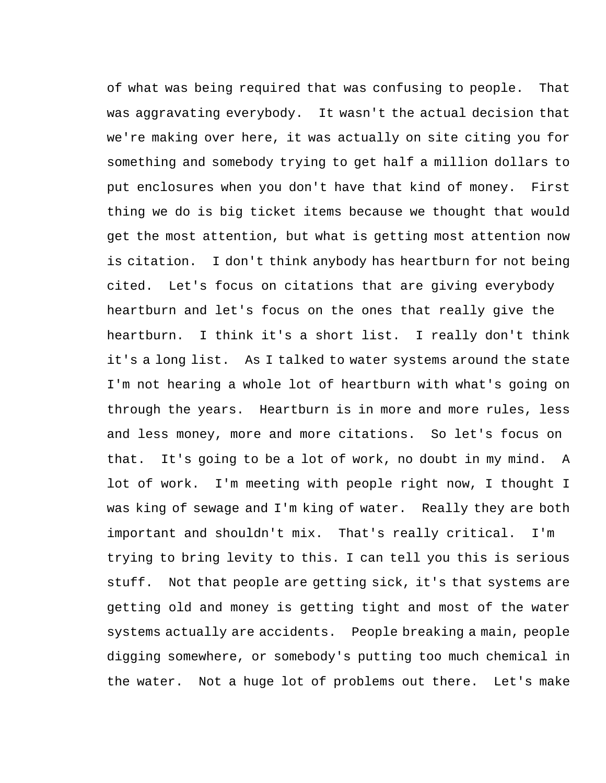of what was being required that was confusing to people. That was aggravating everybody. It wasn't the actual decision that we're making over here, it was actually on site citing you for something and somebody trying to get half a million dollars to put enclosures when you don't have that kind of money. First thing we do is big ticket items because we thought that would get the most attention, but what is getting most attention now is citation. I don't think anybody has heartburn for not being cited. Let's focus on citations that are giving everybody heartburn and let's focus on the ones that really give the heartburn. I think it's a short list. I really don't think it's a long list. As I talked to water systems around the state I'm not hearing a whole lot of heartburn with what's going on through the years. Heartburn is in more and more rules, less and less money, more and more citations. So let's focus on that. It's going to be a lot of work, no doubt in my mind. A lot of work. I'm meeting with people right now, I thought I was king of sewage and I'm king of water. Really they are both important and shouldn't mix. That's really critical. I'm trying to bring levity to this. I can tell you this is serious stuff. Not that people are getting sick, it's that systems are getting old and money is getting tight and most of the water systems actually are accidents. People breaking a main, people digging somewhere, or somebody's putting too much chemical in the water. Not a huge lot of problems out there. Let's make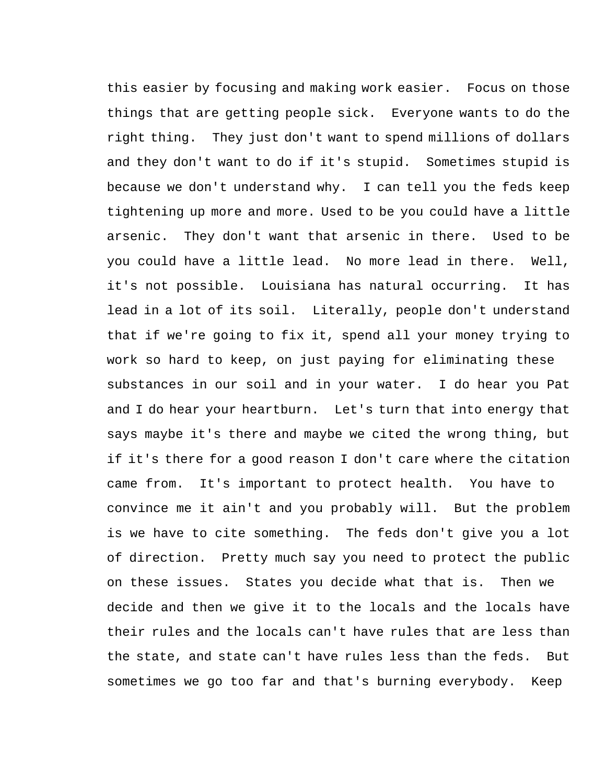this easier by focusing and making work easier. Focus on those things that are getting people sick. Everyone wants to do the right thing. They just don't want to spend millions of dollars and they don't want to do if it's stupid. Sometimes stupid is because we don't understand why. I can tell you the feds keep tightening up more and more. Used to be you could have a little arsenic. They don't want that arsenic in there. Used to be you could have a little lead. No more lead in there. Well, it's not possible. Louisiana has natural occurring. It has lead in a lot of its soil. Literally, people don't understand that if we're going to fix it, spend all your money trying to work so hard to keep, on just paying for eliminating these substances in our soil and in your water. I do hear you Pat and I do hear your heartburn. Let's turn that into energy that says maybe it's there and maybe we cited the wrong thing, but if it's there for a good reason I don't care where the citation came from. It's important to protect health. You have to convince me it ain't and you probably will. But the problem is we have to cite something. The feds don't give you a lot of direction. Pretty much say you need to protect the public on these issues. States you decide what that is. Then we decide and then we give it to the locals and the locals have their rules and the locals can't have rules that are less than the state, and state can't have rules less than the feds. But sometimes we go too far and that's burning everybody. Keep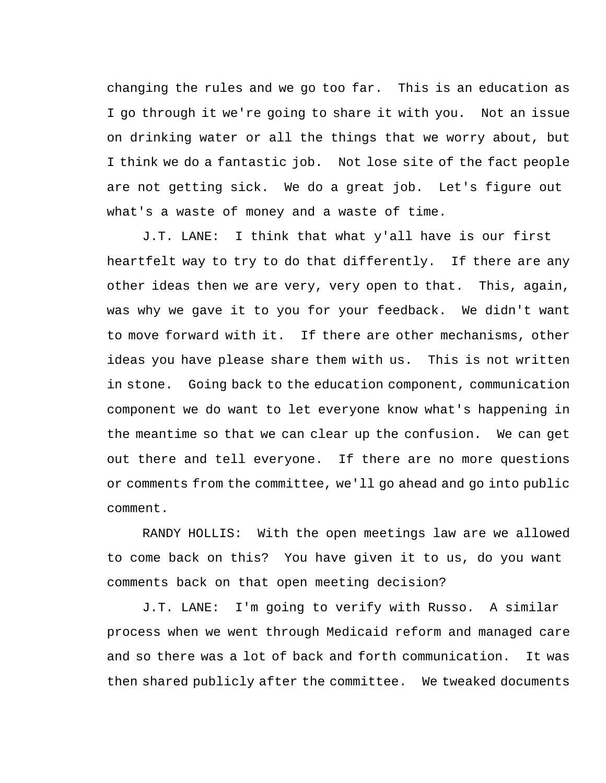changing the rules and we go too far. This is an education as I go through it we're going to share it with you. Not an issue on drinking water or all the things that we worry about, but I think we do a fantastic job. Not lose site of the fact people are not getting sick. We do a great job. Let's figure out what's a waste of money and a waste of time.

J.T. LANE: I think that what y'all have is our first heartfelt way to try to do that differently. If there are any other ideas then we are very, very open to that. This, again, was why we gave it to you for your feedback. We didn't want to move forward with it. If there are other mechanisms, other ideas you have please share them with us. This is not written in stone. Going back to the education component, communication component we do want to let everyone know what's happening in the meantime so that we can clear up the confusion. We can get out there and tell everyone. If there are no more questions or comments from the committee, we'll go ahead and go into public comment.

RANDY HOLLIS: With the open meetings law are we allowed to come back on this? You have given it to us, do you want comments back on that open meeting decision?

J.T. LANE: I'm going to verify with Russo. A similar process when we went through Medicaid reform and managed care and so there was a lot of back and forth communication. It was then shared publicly after the committee. We tweaked documents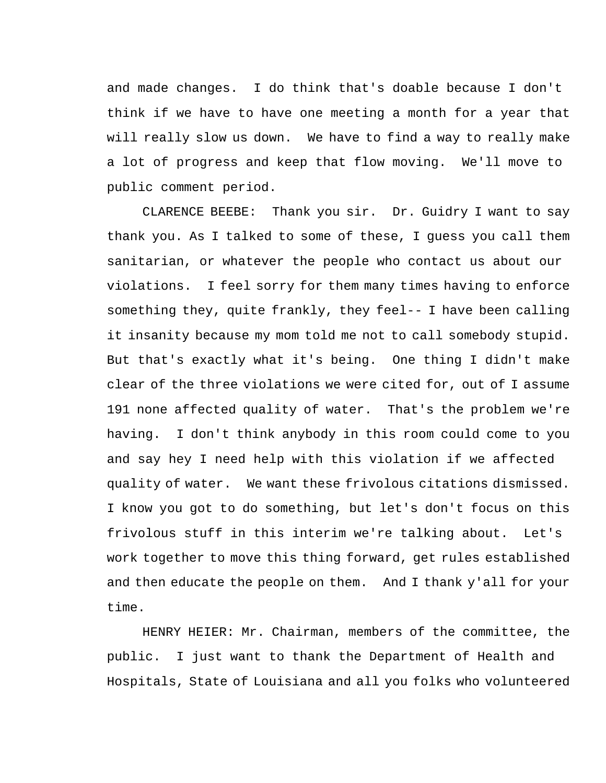and made changes. I do think that's doable because I don't think if we have to have one meeting a month for a year that will really slow us down. We have to find a way to really make a lot of progress and keep that flow moving. We'll move to public comment period.

CLARENCE BEEBE: Thank you sir. Dr. Guidry I want to say thank you. As I talked to some of these, I guess you call them sanitarian, or whatever the people who contact us about our violations. I feel sorry for them many times having to enforce something they, quite frankly, they feel-- I have been calling it insanity because my mom told me not to call somebody stupid. But that's exactly what it's being. One thing I didn't make clear of the three violations we were cited for, out of I assume 191 none affected quality of water. That's the problem we're having. I don't think anybody in this room could come to you and say hey I need help with this violation if we affected quality of water. We want these frivolous citations dismissed. I know you got to do something, but let's don't focus on this frivolous stuff in this interim we're talking about. Let's work together to move this thing forward, get rules established and then educate the people on them. And I thank y'all for your time.

HENRY HEIER: Mr. Chairman, members of the committee, the public. I just want to thank the Department of Health and Hospitals, State of Louisiana and all you folks who volunteered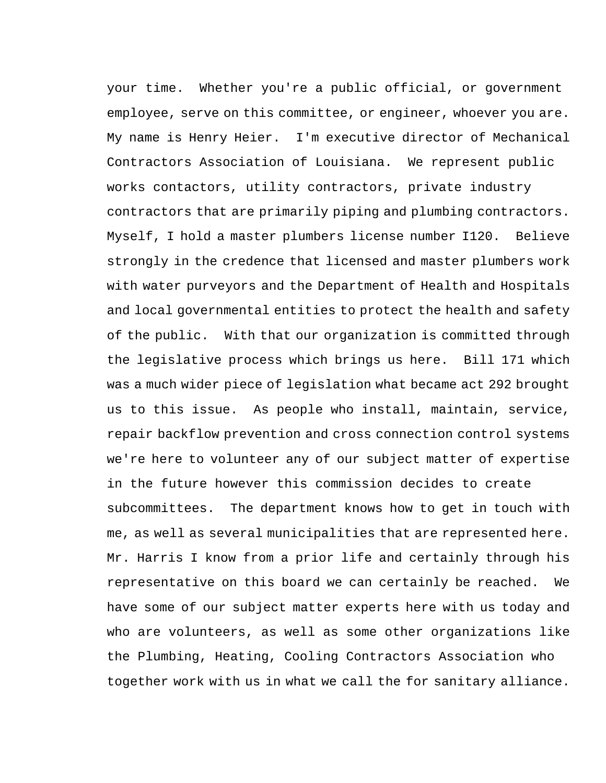your time. Whether you're a public official, or government employee, serve on this committee, or engineer, whoever you are. My name is Henry Heier. I'm executive director of Mechanical Contractors Association of Louisiana. We represent public works contactors, utility contractors, private industry contractors that are primarily piping and plumbing contractors. Myself, I hold a master plumbers license number I120. Believe strongly in the credence that licensed and master plumbers work with water purveyors and the Department of Health and Hospitals and local governmental entities to protect the health and safety of the public. With that our organization is committed through the legislative process which brings us here. Bill 171 which was a much wider piece of legislation what became act 292 brought us to this issue. As people who install, maintain, service, repair backflow prevention and cross connection control systems we're here to volunteer any of our subject matter of expertise in the future however this commission decides to create subcommittees. The department knows how to get in touch with me, as well as several municipalities that are represented here. Mr. Harris I know from a prior life and certainly through his representative on this board we can certainly be reached. We have some of our subject matter experts here with us today and who are volunteers, as well as some other organizations like the Plumbing, Heating, Cooling Contractors Association who together work with us in what we call the for sanitary alliance.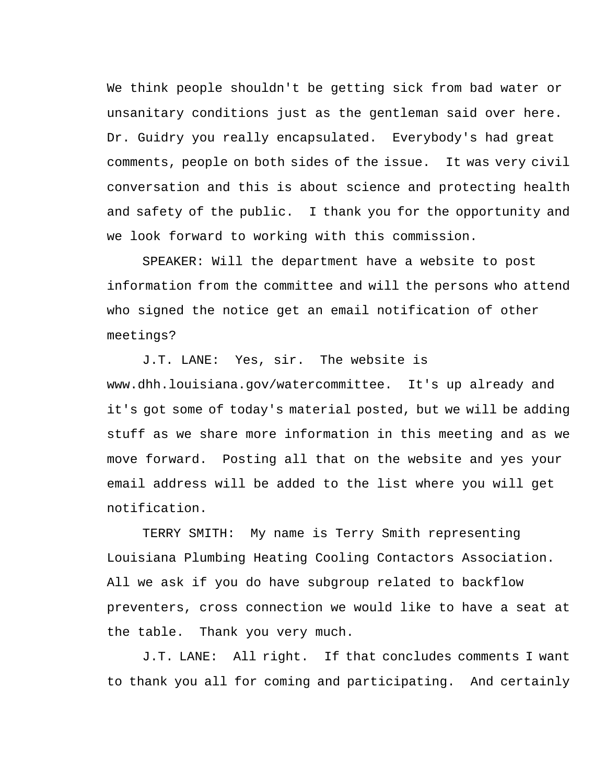We think people shouldn't be getting sick from bad water or unsanitary conditions just as the gentleman said over here. Dr. Guidry you really encapsulated. Everybody's had great comments, people on both sides of the issue. It was very civil conversation and this is about science and protecting health and safety of the public. I thank you for the opportunity and we look forward to working with this commission.

SPEAKER: Will the department have a website to post information from the committee and will the persons who attend who signed the notice get an email notification of other meetings?

J.T. LANE: Yes, sir. The website is www.dhh.louisiana.gov/watercommittee. It's up already and it's got some of today's material posted, but we will be adding stuff as we share more information in this meeting and as we move forward. Posting all that on the website and yes your email address will be added to the list where you will get notification.

TERRY SMITH: My name is Terry Smith representing Louisiana Plumbing Heating Cooling Contactors Association. All we ask if you do have subgroup related to backflow preventers, cross connection we would like to have a seat at the table. Thank you very much.

J.T. LANE: All right. If that concludes comments I want to thank you all for coming and participating. And certainly